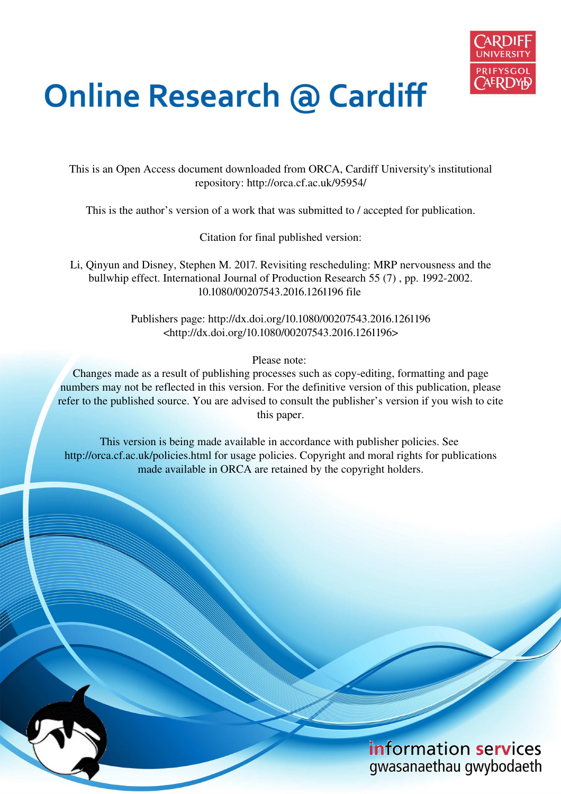

# **Online Research @ Cardiff**

This is an Open Access document downloaded from ORCA, Cardiff University's institutional repository: http://orca.cf.ac.uk/95954/

This is the author's version of a work that was submitted to / accepted for publication.

Citation for final published version:

Li, Qinyun and Disney, Stephen M. 2017. Revisiting rescheduling: MRP nervousness and the bullwhip effect. International Journal of Production Research 55 (7) , pp. 1992-2002. 10.1080/00207543.2016.1261196 file

> Publishers page: http://dx.doi.org/10.1080/00207543.2016.1261196 <http://dx.doi.org/10.1080/00207543.2016.1261196>

> > Please note:

Changes made as a result of publishing processes such as copy-editing, formatting and page numbers may not be reflected in this version. For the definitive version of this publication, please refer to the published source. You are advised to consult the publisher's version if you wish to cite this paper.

This version is being made available in accordance with publisher policies. See http://orca.cf.ac.uk/policies.html for usage policies. Copyright and moral rights for publications made available in ORCA are retained by the copyright holders.

## information services gwasanaethau gwybodaeth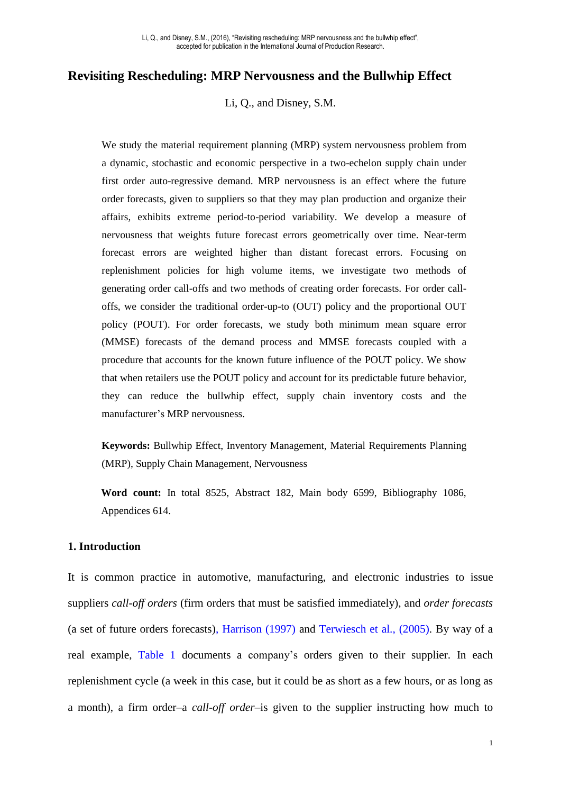#### **Revisiting Rescheduling: MRP Nervousness and the Bullwhip Effect**

Li, Q., and Disney, S.M.

We study the material requirement planning (MRP) system nervousness problem from a dynamic, stochastic and economic perspective in a two-echelon supply chain under first order auto-regressive demand. MRP nervousness is an effect where the future order forecasts, given to suppliers so that they may plan production and organize their affairs, exhibits extreme period-to-period variability. We develop a measure of nervousness that weights future forecast errors geometrically over time. Near-term forecast errors are weighted higher than distant forecast errors. Focusing on replenishment policies for high volume items, we investigate two methods of generating order call-offs and two methods of creating order forecasts. For order calloffs, we consider the traditional order-up-to (OUT) policy and the proportional OUT policy (POUT). For order forecasts, we study both minimum mean square error (MMSE) forecasts of the demand process and MMSE forecasts coupled with a procedure that accounts for the known future influence of the POUT policy. We show that when retailers use the POUT policy and account for its predictable future behavior, they can reduce the bullwhip effect, supply chain inventory costs and the manufacturer's MRP nervousness.

**Keywords:** Bullwhip Effect, Inventory Management, Material Requirements Planning (MRP), Supply Chain Management, Nervousness

**Word count:** In total 8525, Abstract 182, Main body 6599, Bibliography 1086, Appendices 614.

#### **1. Introduction**

It is common practice in automotive, manufacturing, and electronic industries to issue suppliers *call-off orders* (firm orders that must be satisfied immediately), and *order forecasts* (a set of future orders forecasts), Harrison (1997) and Terwiesch et al., (2005). By way of a real example, [Table 1](#page-2-0) documents a company's orders given to their supplier. In each replenishment cycle (a week in this case, but it could be as short as a few hours, or as long as a month), a firm order–a *call-off order*–is given to the supplier instructing how much to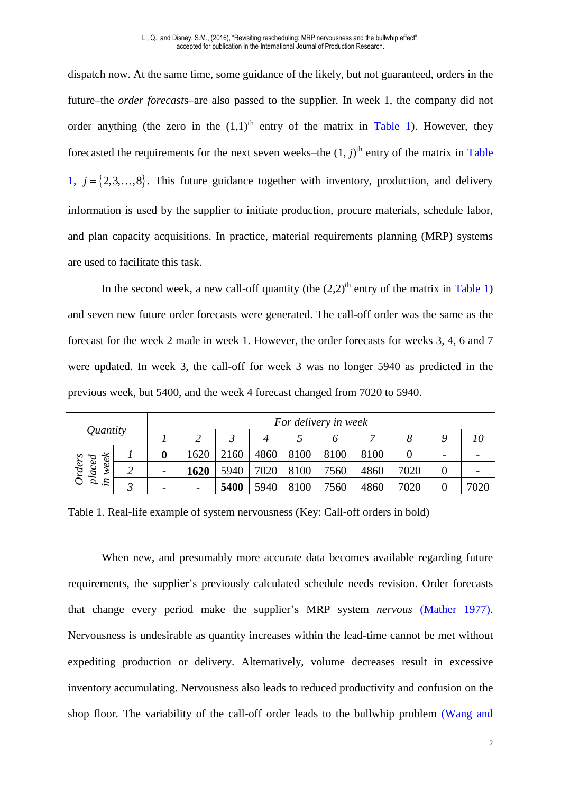dispatch now. At the same time, some guidance of the likely, but not guaranteed, orders in the future–the *order forecast*s–are also passed to the supplier. In week 1, the company did not order anything (the zero in the  $(1,1)$ <sup>th</sup> entry of the matrix in [Table 1\)](#page-2-0). However, they forecasted the requirements for the next seven weeks–the  $(1, j)$ <sup>th</sup> entry of the matrix in Table [1,](#page-2-0)  $j = \{2, 3, \ldots, 8\}$ . This future guidance together with inventory, production, and delivery information is used by the supplier to initiate production, procure materials, schedule labor, and plan capacity acquisitions. In practice, material requirements planning (MRP) systems are used to facilitate this task.

In the second week, a new call-off quantity (the  $(2.2)^{th}$  entry of the matrix in [Table 1\)](#page-2-0) and seven new future order forecasts were generated. The call-off order was the same as the forecast for the week 2 made in week 1. However, the order forecasts for weeks 3, 4, 6 and 7 were updated. In week 3, the call-off for week 3 was no longer 5940 as predicted in the previous week, but 5400, and the week 4 forecast changed from 7020 to 5940.

| Quantity                                |  | For delivery in week     |      |      |      |      |      |      |      |   |      |
|-----------------------------------------|--|--------------------------|------|------|------|------|------|------|------|---|------|
|                                         |  |                          |      |      |      |      |      | ~    |      | Q | 10   |
| ≈<br>$\mathscr{G}$<br>Ο                 |  |                          | 620  | 2160 | 4860 | 8100 | 8100 | 8100 |      | - |      |
| <b>Orders</b><br>Ο<br>$_{in\;we}^{bac}$ |  | $\overline{\phantom{0}}$ | 1620 | 5940 | 7020 | 8100 | 7560 | 4860 | 7020 |   |      |
|                                         |  |                          |      | 5400 | 5940 | 8100 | 7560 | 4860 | 7020 |   | 7020 |

<span id="page-2-0"></span>Table 1. Real-life example of system nervousness (Key: Call-off orders in bold)

When new, and presumably more accurate data becomes available regarding future requirements, the supplier's previously calculated schedule needs revision. Order forecasts that change every period make the supplier's MRP system *nervous* (Mather 1977). Nervousness is undesirable as quantity increases within the lead-time cannot be met without expediting production or delivery. Alternatively, volume decreases result in excessive inventory accumulating. Nervousness also leads to reduced productivity and confusion on the shop floor. The variability of the call-off order leads to the bullwhip problem (Wang and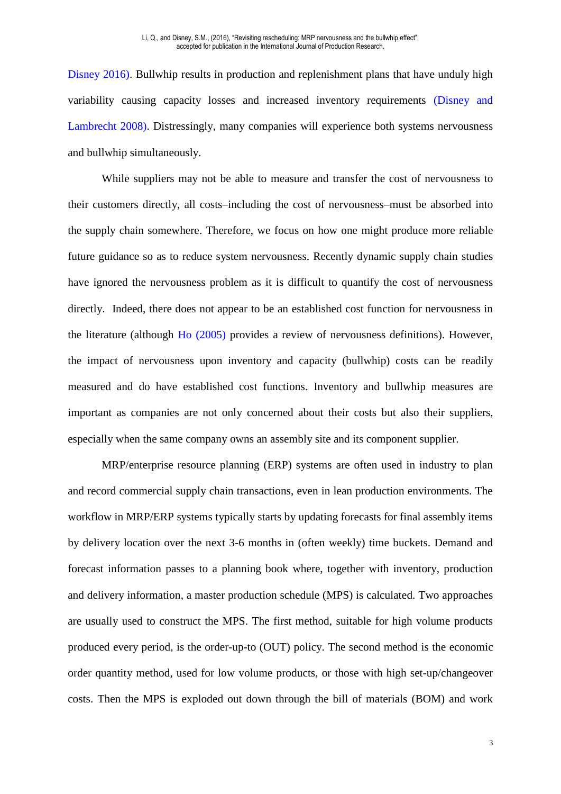Disney 2016). Bullwhip results in production and replenishment plans that have unduly high variability causing capacity losses and increased inventory requirements (Disney and Lambrecht 2008). Distressingly, many companies will experience both systems nervousness and bullwhip simultaneously.

While suppliers may not be able to measure and transfer the cost of nervousness to their customers directly, all costs–including the cost of nervousness–must be absorbed into the supply chain somewhere. Therefore, we focus on how one might produce more reliable future guidance so as to reduce system nervousness. Recently dynamic supply chain studies have ignored the nervousness problem as it is difficult to quantify the cost of nervousness directly. Indeed, there does not appear to be an established cost function for nervousness in the literature (although Ho (2005) provides a review of nervousness definitions). However, the impact of nervousness upon inventory and capacity (bullwhip) costs can be readily measured and do have established cost functions. Inventory and bullwhip measures are important as companies are not only concerned about their costs but also their suppliers, especially when the same company owns an assembly site and its component supplier.

MRP/enterprise resource planning (ERP) systems are often used in industry to plan and record commercial supply chain transactions, even in lean production environments. The workflow in MRP/ERP systems typically starts by updating forecasts for final assembly items by delivery location over the next 3-6 months in (often weekly) time buckets. Demand and forecast information passes to a planning book where, together with inventory, production and delivery information, a master production schedule (MPS) is calculated. Two approaches are usually used to construct the MPS. The first method, suitable for high volume products produced every period, is the order-up-to (OUT) policy. The second method is the economic order quantity method, used for low volume products, or those with high set-up/changeover costs. Then the MPS is exploded out down through the bill of materials (BOM) and work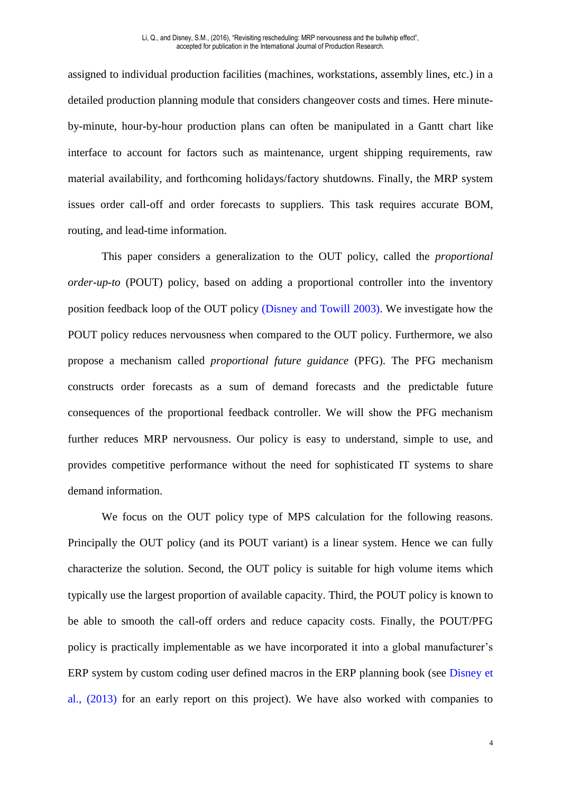assigned to individual production facilities (machines, workstations, assembly lines, etc.) in a detailed production planning module that considers changeover costs and times. Here minuteby-minute, hour-by-hour production plans can often be manipulated in a Gantt chart like interface to account for factors such as maintenance, urgent shipping requirements, raw material availability, and forthcoming holidays/factory shutdowns. Finally, the MRP system issues order call-off and order forecasts to suppliers. This task requires accurate BOM, routing, and lead-time information.

This paper considers a generalization to the OUT policy, called the *proportional order-up-to* (POUT) policy, based on adding a proportional controller into the inventory position feedback loop of the OUT policy (Disney and Towill 2003). We investigate how the POUT policy reduces nervousness when compared to the OUT policy. Furthermore, we also propose a mechanism called *proportional future guidance* (PFG). The PFG mechanism constructs order forecasts as a sum of demand forecasts and the predictable future consequences of the proportional feedback controller. We will show the PFG mechanism further reduces MRP nervousness. Our policy is easy to understand, simple to use, and provides competitive performance without the need for sophisticated IT systems to share demand information.

We focus on the OUT policy type of MPS calculation for the following reasons. Principally the OUT policy (and its POUT variant) is a linear system. Hence we can fully characterize the solution. Second, the OUT policy is suitable for high volume items which typically use the largest proportion of available capacity. Third, the POUT policy is known to be able to smooth the call-off orders and reduce capacity costs. Finally, the POUT/PFG policy is practically implementable as we have incorporated it into a global manufacturer's ERP system by custom coding user defined macros in the ERP planning book (see Disney et al., (2013) for an early report on this project). We have also worked with companies to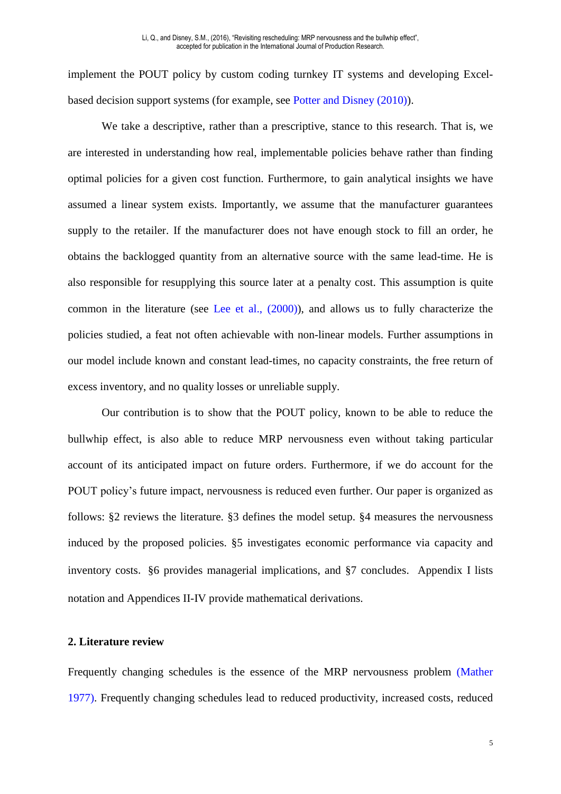implement the POUT policy by custom coding turnkey IT systems and developing Excelbased decision support systems (for example, see Potter and Disney (2010)).

We take a descriptive, rather than a prescriptive, stance to this research. That is, we are interested in understanding how real, implementable policies behave rather than finding optimal policies for a given cost function. Furthermore, to gain analytical insights we have assumed a linear system exists. Importantly, we assume that the manufacturer guarantees supply to the retailer. If the manufacturer does not have enough stock to fill an order, he obtains the backlogged quantity from an alternative source with the same lead-time. He is also responsible for resupplying this source later at a penalty cost. This assumption is quite common in the literature (see Lee et al., (2000)), and allows us to fully characterize the policies studied, a feat not often achievable with non-linear models. Further assumptions in our model include known and constant lead-times, no capacity constraints, the free return of excess inventory, and no quality losses or unreliable supply.

Our contribution is to show that the POUT policy, known to be able to reduce the bullwhip effect, is also able to reduce MRP nervousness even without taking particular account of its anticipated impact on future orders. Furthermore, if we do account for the POUT policy's future impact, nervousness is reduced even further. Our paper is organized as follows: §2 reviews the literature. §3 defines the model setup. §4 measures the nervousness induced by the proposed policies. §5 investigates economic performance via capacity and inventory costs. §6 provides managerial implications, and §7 concludes. Appendix I lists notation and Appendices II-IV provide mathematical derivations.

#### **2. Literature review**

Frequently changing schedules is the essence of the MRP nervousness problem (Mather 1977). Frequently changing schedules lead to reduced productivity, increased costs, reduced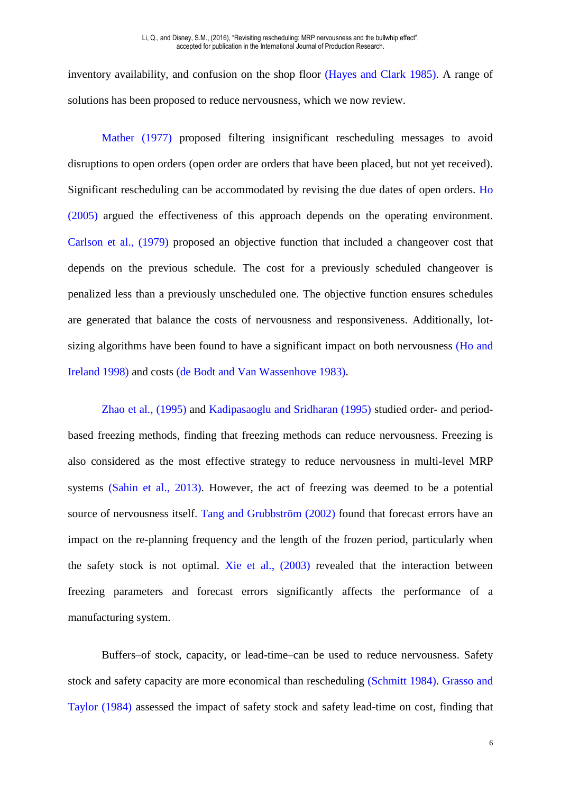inventory availability, and confusion on the shop floor (Hayes and Clark 1985). A range of solutions has been proposed to reduce nervousness, which we now review.

Mather (1977) proposed filtering insignificant rescheduling messages to avoid disruptions to open orders (open order are orders that have been placed, but not yet received). Significant rescheduling can be accommodated by revising the due dates of open orders. Ho (2005) argued the effectiveness of this approach depends on the operating environment. Carlson et al., (1979) proposed an objective function that included a changeover cost that depends on the previous schedule. The cost for a previously scheduled changeover is penalized less than a previously unscheduled one. The objective function ensures schedules are generated that balance the costs of nervousness and responsiveness. Additionally, lotsizing algorithms have been found to have a significant impact on both nervousness (Ho and Ireland 1998) and costs (de Bodt and Van Wassenhove 1983).

Zhao et al., (1995) and Kadipasaoglu and Sridharan (1995) studied order- and periodbased freezing methods, finding that freezing methods can reduce nervousness. Freezing is also considered as the most effective strategy to reduce nervousness in multi-level MRP systems (Sahin et al., 2013). However, the act of freezing was deemed to be a potential source of nervousness itself. Tang and Grubbström (2002) found that forecast errors have an impact on the re-planning frequency and the length of the frozen period, particularly when the safety stock is not optimal. Xie et al., (2003) revealed that the interaction between freezing parameters and forecast errors significantly affects the performance of a manufacturing system.

Buffers–of stock, capacity, or lead-time–can be used to reduce nervousness. Safety stock and safety capacity are more economical than rescheduling (Schmitt 1984). Grasso and Taylor (1984) assessed the impact of safety stock and safety lead-time on cost, finding that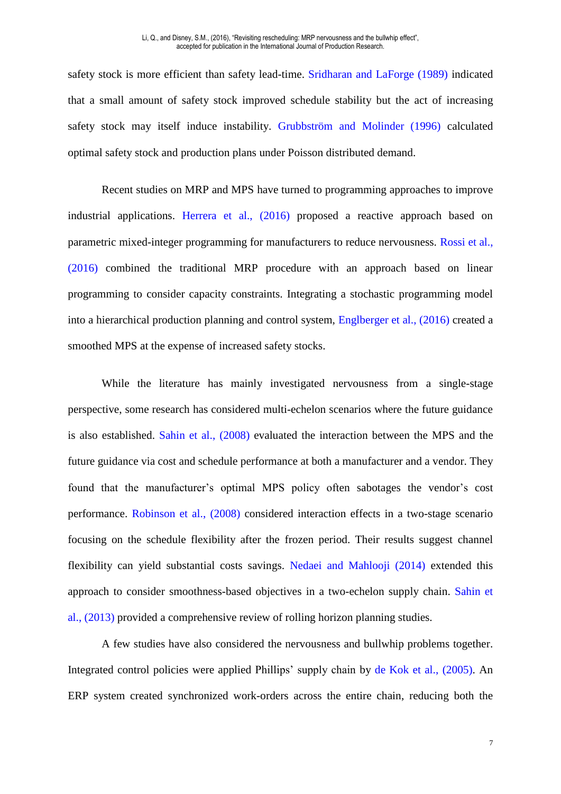safety stock is more efficient than safety lead-time. Sridharan and LaForge (1989) indicated that a small amount of safety stock improved schedule stability but the act of increasing safety stock may itself induce instability. Grubbström and Molinder (1996) calculated optimal safety stock and production plans under Poisson distributed demand.

Recent studies on MRP and MPS have turned to programming approaches to improve industrial applications. Herrera et al., (2016) proposed a reactive approach based on parametric mixed-integer programming for manufacturers to reduce nervousness. Rossi et al., (2016) combined the traditional MRP procedure with an approach based on linear programming to consider capacity constraints. Integrating a stochastic programming model into a hierarchical production planning and control system, Englberger et al., (2016) created a smoothed MPS at the expense of increased safety stocks.

While the literature has mainly investigated nervousness from a single-stage perspective, some research has considered multi-echelon scenarios where the future guidance is also established. Sahin et al., (2008) evaluated the interaction between the MPS and the future guidance via cost and schedule performance at both a manufacturer and a vendor. They found that the manufacturer's optimal MPS policy often sabotages the vendor's cost performance. Robinson et al., (2008) considered interaction effects in a two-stage scenario focusing on the schedule flexibility after the frozen period. Their results suggest channel flexibility can yield substantial costs savings. Nedaei and Mahlooji (2014) extended this approach to consider smoothness-based objectives in a two-echelon supply chain. Sahin et al., (2013) provided a comprehensive review of rolling horizon planning studies.

A few studies have also considered the nervousness and bullwhip problems together. Integrated control policies were applied Phillips' supply chain by de Kok et al., (2005). An ERP system created synchronized work-orders across the entire chain, reducing both the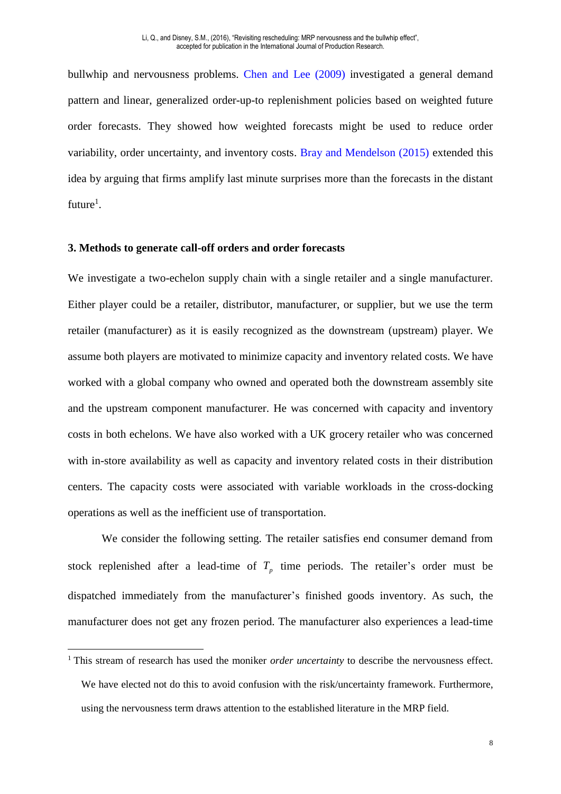bullwhip and nervousness problems. Chen and Lee (2009) investigated a general demand pattern and linear, generalized order-up-to replenishment policies based on weighted future order forecasts. They showed how weighted forecasts might be used to reduce order variability, order uncertainty, and inventory costs. Bray and Mendelson (2015) extended this idea by arguing that firms amplify last minute surprises more than the forecasts in the distant future<sup>1</sup>.

#### **3. Methods to generate call-off orders and order forecasts**

<u>.</u>

We investigate a two-echelon supply chain with a single retailer and a single manufacturer. Either player could be a retailer, distributor, manufacturer, or supplier, but we use the term retailer (manufacturer) as it is easily recognized as the downstream (upstream) player. We assume both players are motivated to minimize capacity and inventory related costs. We have worked with a global company who owned and operated both the downstream assembly site and the upstream component manufacturer. He was concerned with capacity and inventory costs in both echelons. We have also worked with a UK grocery retailer who was concerned with in-store availability as well as capacity and inventory related costs in their distribution centers. The capacity costs were associated with variable workloads in the cross-docking operations as well as the inefficient use of transportation.

We consider the following setting. The retailer satisfies end consumer demand from stock replenished after a lead-time of  $T_p$  time periods. The retailer's order must be dispatched immediately from the manufacturer's finished goods inventory. As such, the manufacturer does not get any frozen period. The manufacturer also experiences a lead-time

<sup>&</sup>lt;sup>1</sup> This stream of research has used the moniker *order uncertainty* to describe the nervousness effect. We have elected not do this to avoid confusion with the risk/uncertainty framework. Furthermore, using the nervousness term draws attention to the established literature in the MRP field.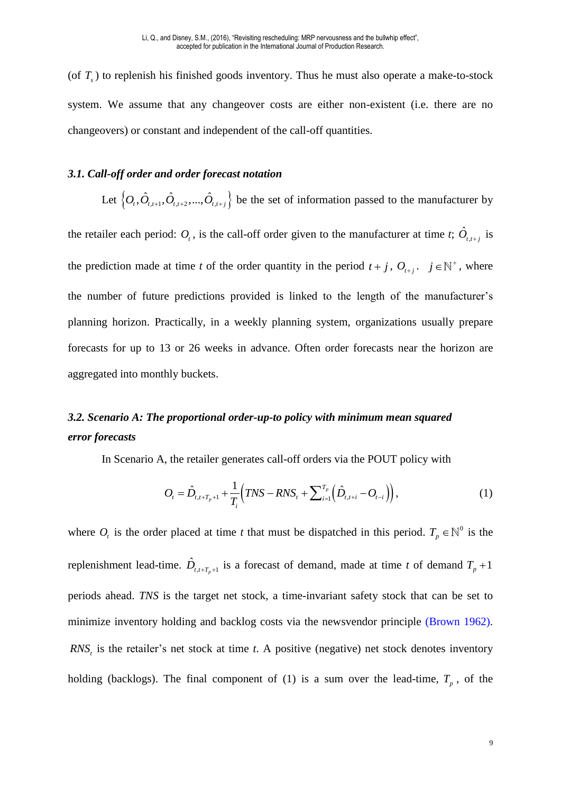(of  $T<sub>s</sub>$ ) to replenish his finished goods inventory. Thus he must also operate a make-to-stock system. We assume that any changeover costs are either non-existent (i.e. there are no changeovers) or constant and independent of the call-off quantities.

#### *3.1. Call-off order and order forecast notation*

Let  $\left\{O_t, \hat{O}_{t,t+1}, \hat{O}_{t,t+2},..., \hat{O}_{t,t+j}\right\}$  be the set of information passed to the manufacturer by the retailer each period:  $O_t$ , is the call-off order given to the manufacturer at time *t*;  $\hat{O}_{t,t+j}$  is the prediction made at time *t* of the order quantity in the period  $t + j$ ,  $O_{t+j}$ .  $j \in \mathbb{N}^+$ , where the number of future predictions provided is linked to the length of the manufacturer's planning horizon. Practically, in a weekly planning system, organizations usually prepare forecasts for up to 13 or 26 weeks in advance. Often order forecasts near the horizon are aggregated into monthly buckets.

### *3.2. Scenario A: The proportional order-up-to policy with minimum mean squared error forecasts*

In Scenario A, the retailer generates call-off orders via the POUT policy with

$$
O_{t} = \hat{D}_{t,t+T_{p}+1} + \frac{1}{T_{i}} \Big( TNS - RNS_{t} + \sum_{i=1}^{T_{p}} \Big( \hat{D}_{t,t+i} - O_{t-i} \Big) \Big), \tag{1}
$$

where  $O_t$  is the order placed at time *t* that must be dispatched in this period.  $T_p \in \mathbb{N}^0$  is the replenishment lead-time.  $\hat{D}_{t,t+T_p+1}$  is a forecast of demand, made at time *t* of demand  $T_p + 1$ periods ahead. *TNS* is the target net stock, a time-invariant safety stock that can be set to minimize inventory holding and backlog costs via the newsvendor principle (Brown 1962). *RNS<sup>t</sup>* is the retailer's net stock at time *t*. A positive (negative) net stock denotes inventory holding (backlogs). The final component of (1) is a sum over the lead-time,  $T_p$ , of the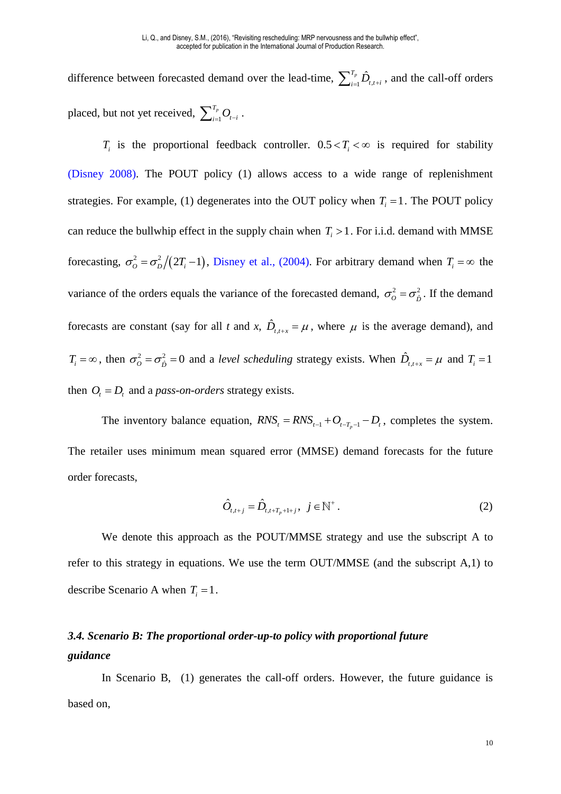difference between forecasted demand over the lead-time,  $\sum_{i=1}^{T_p} \hat{D}_{t,t+i}$ , and the call-off orders placed, but not yet received,  $\sum_{i=1}^{T_p}$  $\sum\nolimits_{i=1}^{T_p} O_{_{t-i}}$  .

 $T_i$  is the proportional feedback controller.  $0.5 < T_i < \infty$  is required for stability (Disney 2008). The POUT policy (1) allows access to a wide range of replenishment strategies. For example, (1) degenerates into the OUT policy when  $T<sub>i</sub> = 1$ . The POUT policy can reduce the bullwhip effect in the supply chain when  $T_i > 1$ . For i.i.d. demand with MMSE forecasting,  $\sigma_o^2 = \frac{\sigma_p^2}{2T_i - 1}$ , Disney et al., (2004). For arbitrary demand when  $T_i = \infty$  the variance of the orders equals the variance of the forecasted demand,  $\sigma_0^2 = \sigma_{\hat{D}}^2$ . If the demand forecasts are constant (say for all *t* and *x*,  $\hat{D}_{t,t+x} = \mu$ , where  $\mu$  is the average demand), and  $T_i = \infty$ , then  $\sigma_o^2 = \sigma_{\hat{D}}^2 = 0$  and a *level scheduling* strategy exists. When  $\hat{D}_{t,t+x} = \mu$  and  $T_i = 1$ then  $O_t = D_t$  and a *pass-on-orders* strategy exists.

The inventory balance equation,  $RNS_t = RNS_{t-1} + O_{t-T_p-1} - D_t$ , completes the system. The retailer uses minimum mean squared error (MMSE) demand forecasts for the future order forecasts,

$$
\hat{O}_{t,t+j} = \hat{D}_{t,t+T_p+1+j}, \ \ j \in \mathbb{N}^+ \,. \tag{2}
$$

We denote this approach as the POUT/MMSE strategy and use the subscript A to refer to this strategy in equations. We use the term OUT/MMSE (and the subscript A,1) to describe Scenario A when  $T_i = 1$ .

## *3.4. Scenario B: The proportional order-up-to policy with proportional future guidance*

In Scenario B, (1) generates the call-off orders. However, the future guidance is based on,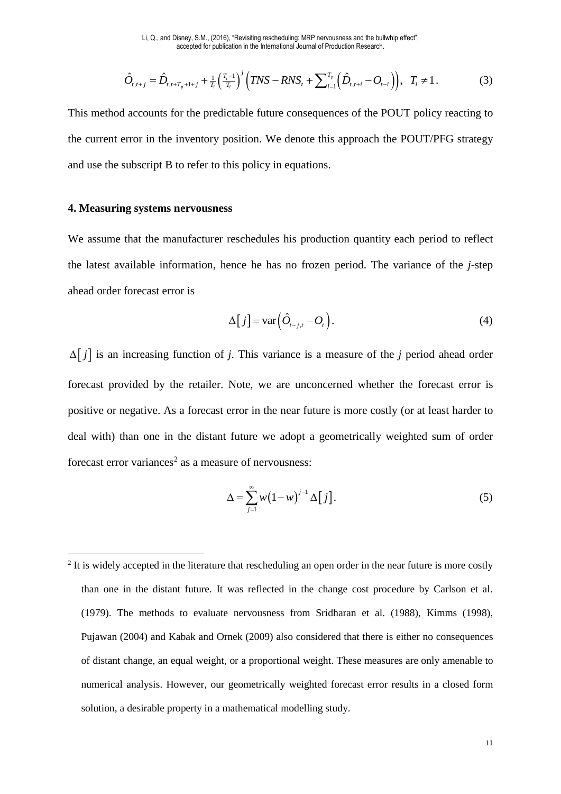$$
\hat{O}_{t,t+j} = \hat{D}_{t,t+T_p+1+j} + \frac{1}{T_i} \left(\frac{T_i-1}{T_i}\right)^j \left(TNS - RNS_t + \sum_{i=1}^{T_p} \left(\hat{D}_{t,t+i} - O_{t-i}\right)\right), \quad T_i \neq 1. \tag{3}
$$

This method accounts for the predictable future consequences of the POUT policy reacting to the current error in the inventory position. We denote this approach the POUT/PFG strategy and use the subscript B to refer to this policy in equations.

#### **4. Measuring systems nervousness**

-

We assume that the manufacturer reschedules his production quantity each period to reflect the latest available information, hence he has no frozen period. The variance of the *j*-step ahead order forecast error is

$$
\Delta[j] = \text{var}\left(\hat{O}_{t-j,t} - O_t\right). \tag{4}
$$

 $\Delta[j]$  is an increasing function of *j*. This variance is a measure of the *j* period ahead order forecast provided by the retailer. Note, we are unconcerned whether the forecast error is positive or negative. As a forecast error in the near future is more costly (or at least harder to deal with) than one in the distant future we adopt a geometrically weighted sum of order forecast error variances<sup>2</sup> as a measure of nervousness:

$$
\Delta = \sum_{j=1}^{\infty} w \big( 1 - w \big)^{j-1} \Delta \big[ j \big]. \tag{5}
$$

 $2$  It is widely accepted in the literature that rescheduling an open order in the near future is more costly than one in the distant future. It was reflected in the change cost procedure by Carlson et al. (1979). The methods to evaluate nervousness from Sridharan et al. (1988), Kimms (1998), Pujawan (2004) and Kabak and Ornek (2009) also considered that there is either no consequences of distant change, an equal weight, or a proportional weight. These measures are only amenable to numerical analysis. However, our geometrically weighted forecast error results in a closed form solution, a desirable property in a mathematical modelling study.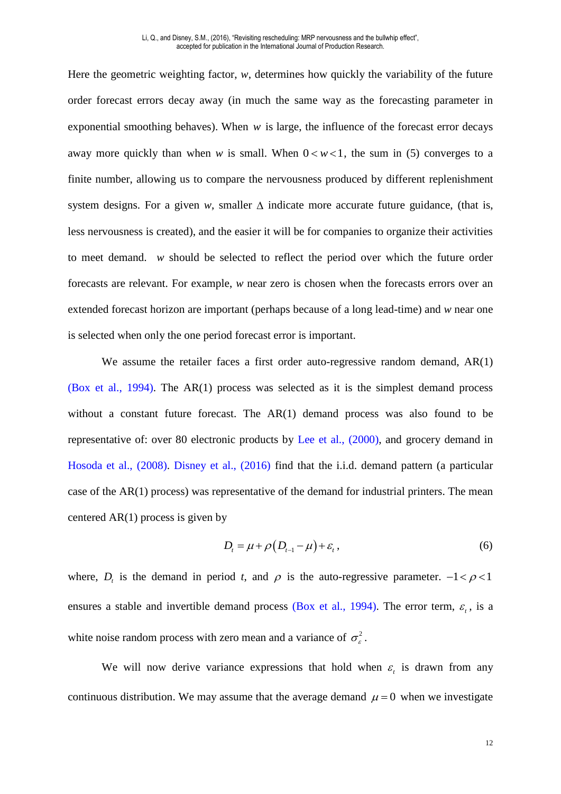Here the geometric weighting factor, *w*, determines how quickly the variability of the future order forecast errors decay away (in much the same way as the forecasting parameter in exponential smoothing behaves). When *w* is large, the influence of the forecast error decays away more quickly than when *w* is small. When  $0 < w < 1$ , the sum in (5) converges to a finite number, allowing us to compare the nervousness produced by different replenishment system designs. For a given *w*, smaller  $\Delta$  indicate more accurate future guidance, (that is, less nervousness is created), and the easier it will be for companies to organize their activities to meet demand. *w* should be selected to reflect the period over which the future order forecasts are relevant. For example, *w* near zero is chosen when the forecasts errors over an extended forecast horizon are important (perhaps because of a long lead-time) and *w* near one is selected when only the one period forecast error is important.

We assume the retailer faces a first order auto-regressive random demand, AR(1) (Box et al., 1994). The AR(1) process was selected as it is the simplest demand process without a constant future forecast. The AR(1) demand process was also found to be representative of: over 80 electronic products by Lee et al., (2000), and grocery demand in Hosoda et al., (2008). Disney et al., (2016) find that the i.i.d. demand pattern (a particular case of the  $AR(1)$  process) was representative of the demand for industrial printers. The mean centered  $AR(1)$  process is given by

$$
D_t = \mu + \rho \left( D_{t-1} - \mu \right) + \varepsilon_t, \qquad (6)
$$

where,  $D_t$  is the demand in period *t*, and  $\rho$  is the auto-regressive parameter.  $-1 < \rho < 1$ ensures a stable and invertible demand process (Box et al., 1994). The error term,  $\varepsilon$ <sub>i</sub>, is a white noise random process with zero mean and a variance of  $\sigma_{\epsilon}^2$ .

We will now derive variance expressions that hold when  $\varepsilon$  is drawn from any continuous distribution. We may assume that the average demand  $\mu = 0$  when we investigate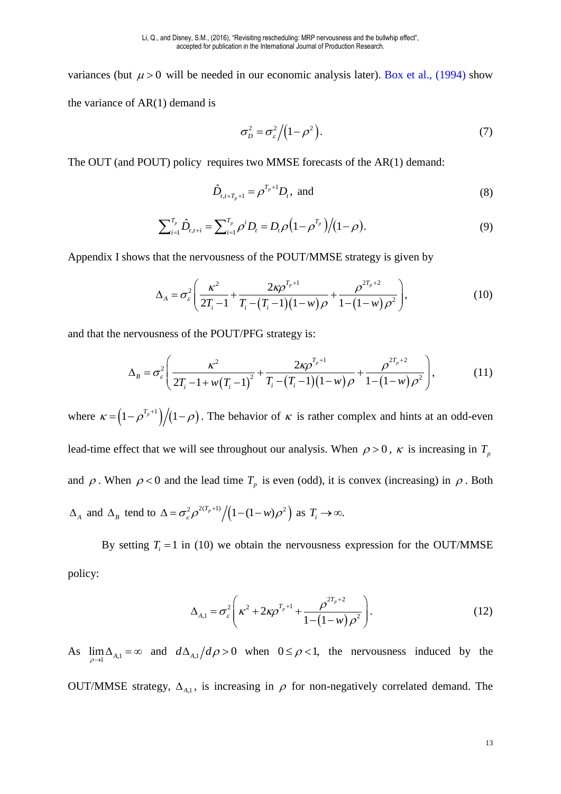variances (but  $\mu > 0$  will be needed in our economic analysis later). Box et al., (1994) show the variance of AR(1) demand is

$$
\sigma_D^2 = \sigma_\varepsilon^2 / \left(1 - \rho^2\right). \tag{7}
$$

The OUT (and POUT) policy requires two MMSE forecasts of the AR(1) demand:

$$
\hat{D}_{t,t+T_p+1} = \rho^{T_p+1} D_t, \text{ and } (8)
$$

$$
\sum_{i=1}^{T_p} \hat{D}_{t,t+i} = \sum_{i=1}^{T_p} \rho^i D_t = D_t \rho \left( 1 - \rho^{T_p} \right) / (1 - \rho).
$$
\n(9)

Appendix I shows that the nervousness of the POUT/MMSE strategy is given by

$$
\Delta_A = \sigma_\varepsilon^2 \left( \frac{\kappa^2}{2T_i - 1} + \frac{2\kappa \rho^{T_p + 1}}{T_i - (T_i - 1)(1 - w)\rho} + \frac{\rho^{2T_p + 2}}{1 - (1 - w)\rho^2} \right),\tag{10}
$$

and that the nervousness of the POUT/PFG strategy is:

$$
\Delta_B = \sigma_\varepsilon^2 \left( \frac{\kappa^2}{2T_i - 1 + w(T_i - 1)^2} + \frac{2\kappa \rho^{T_p + 1}}{T_i - (T_i - 1)(1 - w)\rho} + \frac{\rho^{2T_p + 2}}{1 - (1 - w)\rho^2} \right),\tag{11}
$$

where  $\kappa = (1 - \rho^{T_p+1})/(1 - \rho)$ . The behavior of  $\kappa$  is rather complex and hints at an odd-even lead-time effect that we will see throughout our analysis. When  $\rho > 0$ ,  $\kappa$  is increasing in  $T_p$ and  $\rho$ . When  $\rho < 0$  and the lead time  $T_p$  is even (odd), it is convex (increasing) in  $\rho$ . Both  $\Delta_A$  and  $\Delta_B$  tend to  $\Delta = \sigma_{\varepsilon}^2 \rho^{2(T_p+1)}/\left(1-(1-w)\rho^2\right)$  as  $T_i \to \infty$ .

By setting  $T_i = 1$  in (10) we obtain the nervousness expression for the OUT/MMSE policy:

$$
\Delta_{A,1} = \sigma_{\varepsilon}^2 \left( \kappa^2 + 2 \kappa \rho^{T_p + 1} + \frac{\rho^{2T_p + 2}}{1 - (1 - w)\rho^2} \right).
$$
 (12)

As  $\lim_{\rho \to 1} \Delta_{A,1} = \infty$  and  $d\Delta_{A,1} / d\rho > 0$  when  $0 \le \rho < 1$ , the nervousness induced by the OUT/MMSE strategy,  $\Delta_{A,1}$ , is increasing in  $\rho$  for non-negatively correlated demand. The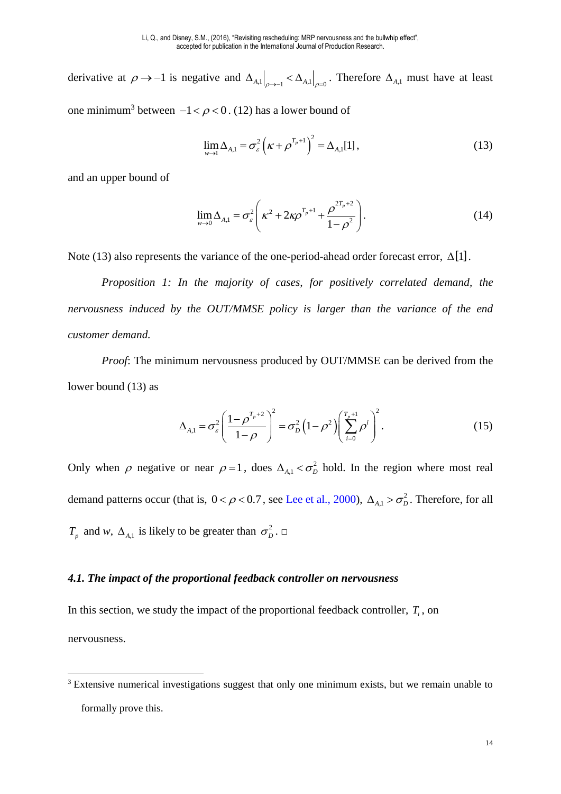derivative at  $\rho \to -1$  is negative and  $\Delta_{A,1} \big|_{\rho \to -1} < \Delta_{A,1} \big|_{\rho = 0}$ . Therefore  $\Delta_{A,1}$  must have at least one minimum<sup>3</sup> between  $-1 < \rho < 0$ . (12) has a lower bound of

$$
\lim_{w \to 1} \Delta_{A,1} = \sigma_{\varepsilon}^{2} \left( \kappa + \rho^{T_{p}+1} \right)^{2} = \Delta_{A,1}[1],
$$
\n(13)

and an upper bound of

<u>.</u>

$$
\lim_{w \to 0} \Delta_{A,1} = \sigma_{\varepsilon}^{2} \left( \kappa^{2} + 2 \kappa \rho^{T_{p}+1} + \frac{\rho^{2T_{p}+2}}{1-\rho^{2}} \right).
$$
 (14)

Note (13) also represents the variance of the one-period-ahead order forecast error,  $\Delta[1]$ .

*Proposition 1: In the majority of cases, for positively correlated demand, the nervousness induced by the OUT/MMSE policy is larger than the variance of the end customer demand.* 

*Proof*: The minimum nervousness produced by OUT/MMSE can be derived from the lower bound (13) as

$$
\Delta_{A,1} = \sigma_{\varepsilon}^2 \left( \frac{1 - \rho^{T_p + 2}}{1 - \rho} \right)^2 = \sigma_D^2 \left( 1 - \rho^2 \right) \left( \sum_{i=0}^{T_p + 1} \rho^i \right)^2.
$$
 (15)

Only when  $\rho$  negative or near  $\rho = 1$ , does  $\Delta_{A,1} < \sigma_D^2$  hold. In the region where most real demand patterns occur (that is,  $0 < \rho < 0.7$ , see Lee et al., 2000),  $\Delta_{A,1} > \sigma_D^2$ . Therefore, for all  $T_p$  and *w*,  $\Delta_{A,1}$  is likely to be greater than  $\sigma_p^2$ .  $\Box$ 

#### *4.1. The impact of the proportional feedback controller on nervousness*

In this section, we study the impact of the proportional feedback controller, *T<sup>i</sup>* , on nervousness.

<sup>&</sup>lt;sup>3</sup> Extensive numerical investigations suggest that only one minimum exists, but we remain unable to formally prove this.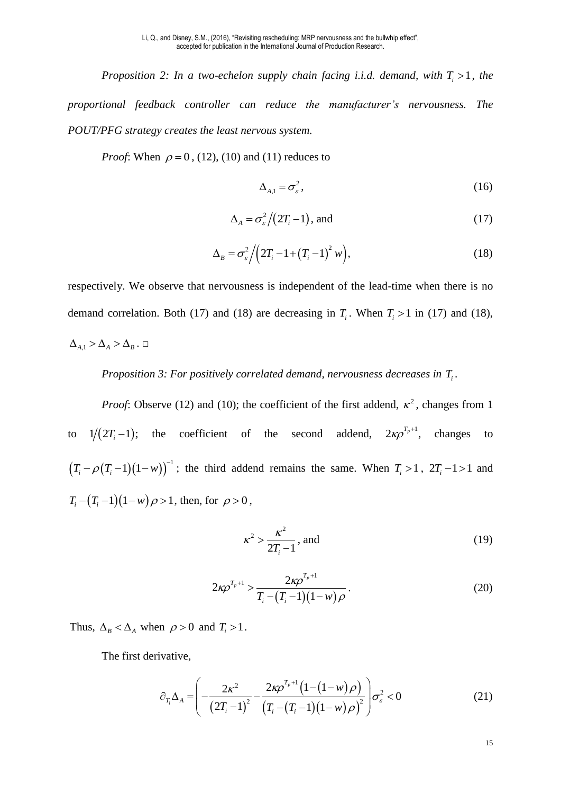*Proposition 2: In a two-echelon supply chain facing i.i.d. demand, with*  $T_i > 1$ *, the proportional feedback controller can reduce the manufacturer's nervousness. The POUT/PFG strategy creates the least nervous system.* 

*Proof*: When  $\rho = 0$ , (12), (10) and (11) reduces to

$$
\Delta_{A,1} = \sigma_{\varepsilon}^2,\tag{16}
$$

$$
\Delta_A = \sigma_\varepsilon^2 \big/ \big( 2T_i - 1 \big), \text{ and} \tag{17}
$$

$$
\Delta_B = \sigma_\varepsilon^2 \Big/ \Big( 2T_i - 1 + \Big( T_i - 1 \Big)^2 w \Big), \tag{18}
$$

respectively. We observe that nervousness is independent of the lead-time when there is no demand correlation. Both (17) and (18) are decreasing in  $T_i$ . When  $T_i > 1$  in (17) and (18),

$$
\Delta_{\rm A,1}>\Delta_{\rm A}>\Delta_{\rm B}\ .\ \Box
$$

*Proposition 3: For positively correlated demand, nervousness decreases in T<sub>i</sub>.* 

*Proof*: Observe (12) and (10); the coefficient of the first addend,  $\kappa^2$ , changes from 1 to  $1/(2T_i-1)$ ; the coefficient of the second addend,  $2\kappa \rho^{T_p+1}$ , changes to  $(T_i - \rho(T_i - 1)(1 - w))$ <sup>-1</sup>; the third addend remains the same. When  $T_i > 1$ ,  $2T_i - 1 > 1$  and  $T_i - (T_i - 1)(1 - w)\rho > 1$ , then, for  $\rho > 0$ ,

$$
\kappa^2 > \frac{\kappa^2}{2T_i - 1}, \text{ and} \tag{19}
$$

$$
2\kappa \rho^{T_p+1} > \frac{2\kappa \rho^{T_p+1}}{T_i - (T_i - 1)(1 - w)\rho}.
$$
 (20)

Thus,  $\Delta_B < \Delta_A$  when  $\rho > 0$  and  $T_i > 1$ .

The first derivative,

$$
\partial_{T_i} \Delta_A = \left( -\frac{2\kappa^2}{(2T_i - 1)^2} - \frac{2\kappa \rho^{T_p + 1} (1 - (1 - w)\rho)}{(T_i - (T_i - 1)(1 - w)\rho)^2} \right) \sigma_\varepsilon^2 < 0 \tag{21}
$$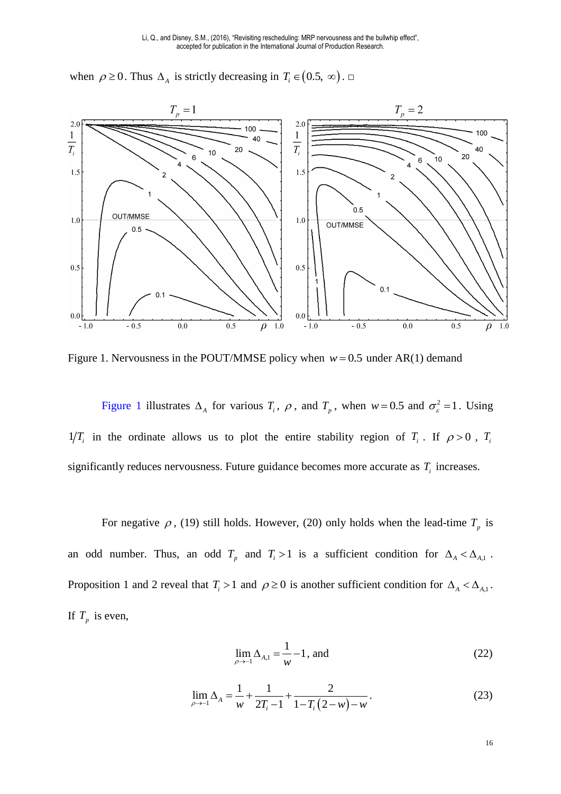

when  $\rho \ge 0$ . Thus  $\Delta_A$  is strictly decreasing in  $T_i \in (0.5, \infty)$ .

<span id="page-16-0"></span>Figure 1. Nervousness in the POUT/MMSE policy when  $w = 0.5$  under AR(1) demand

[Figure 1](#page-16-0) illustrates  $\Delta_A$  for various  $T_i$ ,  $\rho$ , and  $T_p$ , when  $w = 0.5$  and  $\sigma_{\varepsilon}^2 = 1$ . Using  $1/T_i$  in the ordinate allows us to plot the entire stability region of  $T_i$ . If  $\rho > 0$ ,  $T_i$ significantly reduces nervousness. Future guidance becomes more accurate as  $T_i$  increases.

For negative  $\rho$ , (19) still holds. However, (20) only holds when the lead-time  $T_p$  is an odd number. Thus, an odd  $T_p$  and  $T_i > 1$  is a sufficient condition for  $\Delta_A < \Delta_{A,1}$ . Proposition 1 and 2 reveal that  $T_i > 1$  and  $\rho \ge 0$  is another sufficient condition for  $\Delta_A < \Delta_{A,1}$ . If  $T_p$  is even,

$$
\lim_{\rho \to -1} \Delta_{A,1} = \frac{1}{w} - 1, \text{ and} \tag{22}
$$

$$
\lim_{\rho \to -1} \Delta_A = \frac{1}{w} + \frac{1}{2T_i - 1} + \frac{2}{1 - T_i (2 - w) - w}.
$$
 (23)

16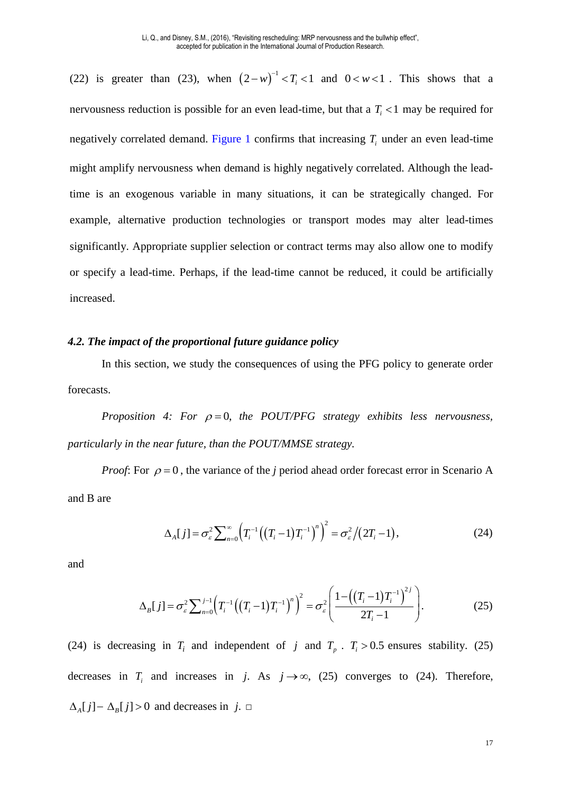(22) is greater than (23), when  $(2-w)^{-1} < T_i < 1$  and  $0 < w < 1$ . This shows that a nervousness reduction is possible for an even lead-time, but that a  $T<sub>i</sub> < 1$  may be required for negatively correlated demand. [Figure 1](#page-16-0) confirms that increasing *T<sup>i</sup>* under an even lead-time might amplify nervousness when demand is highly negatively correlated. Although the leadtime is an exogenous variable in many situations, it can be strategically changed. For example, alternative production technologies or transport modes may alter lead-times significantly. Appropriate supplier selection or contract terms may also allow one to modify or specify a lead-time. Perhaps, if the lead-time cannot be reduced, it could be artificially increased.

#### *4.2. The impact of the proportional future guidance policy*

In this section, we study the consequences of using the PFG policy to generate order forecasts.

*Proposition 4: For*  $\rho = 0$ *, the POUT/PFG strategy exhibits less nervousness, particularly in the near future, than the POUT/MMSE strategy.* 

*Proof*: For  $\rho = 0$ , the variance of the *j* period ahead order forecast error in Scenario A and B are

$$
\Delta_A[j] = \sigma_\varepsilon^2 \sum_{n=0}^{\infty} \left( T_i^{-1} \left( (T_i - 1) T_i^{-1} \right)^n \right)^2 = \sigma_\varepsilon^2 / (2T_i - 1), \tag{24}
$$

and

$$
\Delta_B[j] = \sigma_\varepsilon^2 \sum_{n=0}^{j-1} \left( T_i^{-1} \left( (T_i - 1) T_i^{-1} \right)^n \right)^2 = \sigma_\varepsilon^2 \left( \frac{1 - \left( (T_i - 1) T_i^{-1} \right)^{2j}}{2T_i - 1} \right). \tag{25}
$$

(24) is decreasing in  $T_i$  and independent of *j* and  $T_p$ .  $T_i > 0.5$  ensures stability. (25) decreases in  $T_i$  and increases in *j*. As  $j \rightarrow \infty$ , (25) converges to (24). Therefore,  $\Delta_A [ j ] - \Delta_B [ j ] > 0$  and decreases in *j*. □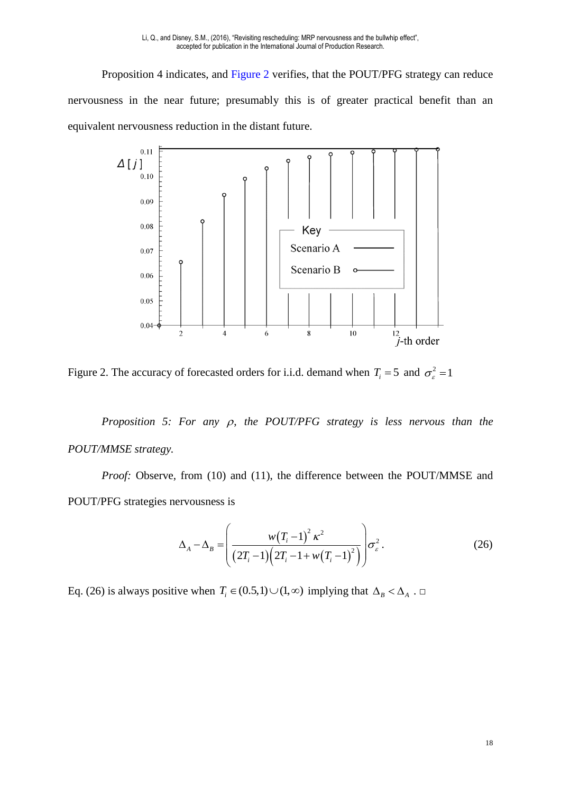Proposition 4 indicates, and [Figure 2](#page-18-0) verifies, that the POUT/PFG strategy can reduce nervousness in the near future; presumably this is of greater practical benefit than an equivalent nervousness reduction in the distant future.



<span id="page-18-0"></span>Figure 2. The accuracy of forecasted orders for i.i.d. demand when  $T_i = 5$  and  $\sigma_{\epsilon}^2 = 1$ 

*Proposition 5: For any*  $\rho$ *, the POUT/PFG strategy is less nervous than the POUT/MMSE strategy.* 

*Proof:* Observe, from (10) and (11), the difference between the POUT/MMSE and POUT/PFG strategies nervousness is

$$
\Delta_A - \Delta_B = \left( \frac{w(T_i - 1)^2 \kappa^2}{(2T_i - 1)(2T_i - 1 + w(T_i - 1)^2)} \right) \sigma_\varepsilon^2.
$$
\n(26)

Eq. (26) is always positive when  $T_i \in (0.5,1) \cup (1,\infty)$  implying that  $\Delta_B < \Delta_A$ . □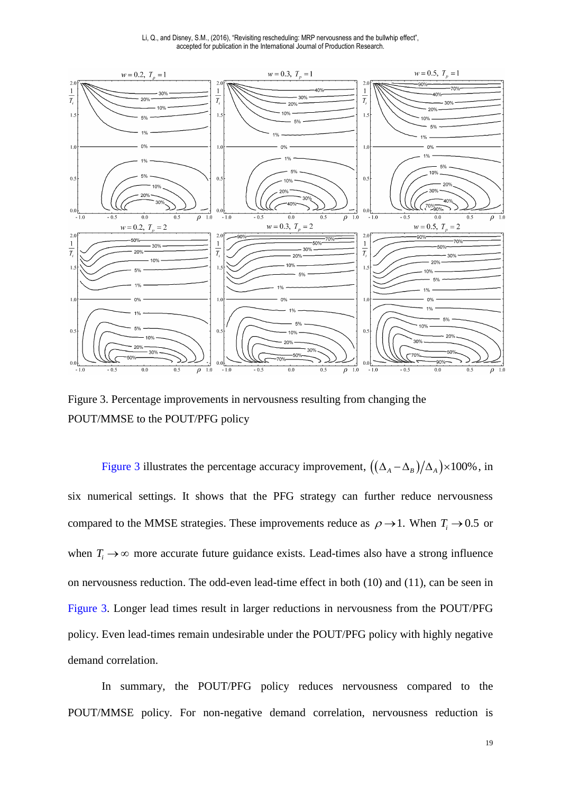Li, Q., and Disney, S.M., (2016), "Revisiting rescheduling: MRP nervousness and the bullwhip effect", accepted for publication in the International Journal of Production Research.



<span id="page-19-0"></span>Figure 3. Percentage improvements in nervousness resulting from changing the POUT/MMSE to the POUT/PFG policy

[Figure 3](#page-19-0) illustrates the percentage accuracy improvement,  $((\Delta_A - \Delta_B)/\Delta_A) \times 100\%$ , in six numerical settings. It shows that the PFG strategy can further reduce nervousness compared to the MMSE strategies. These improvements reduce as  $\rho \rightarrow 1$ . When  $T_i \rightarrow 0.5$  or when  $T_i \rightarrow \infty$  more accurate future guidance exists. Lead-times also have a strong influence on nervousness reduction. The odd-even lead-time effect in both (10) and (11), can be seen in [Figure 3.](#page-19-0) Longer lead times result in larger reductions in nervousness from the POUT/PFG policy. Even lead-times remain undesirable under the POUT/PFG policy with highly negative demand correlation.

In summary, the POUT/PFG policy reduces nervousness compared to the POUT/MMSE policy. For non-negative demand correlation, nervousness reduction is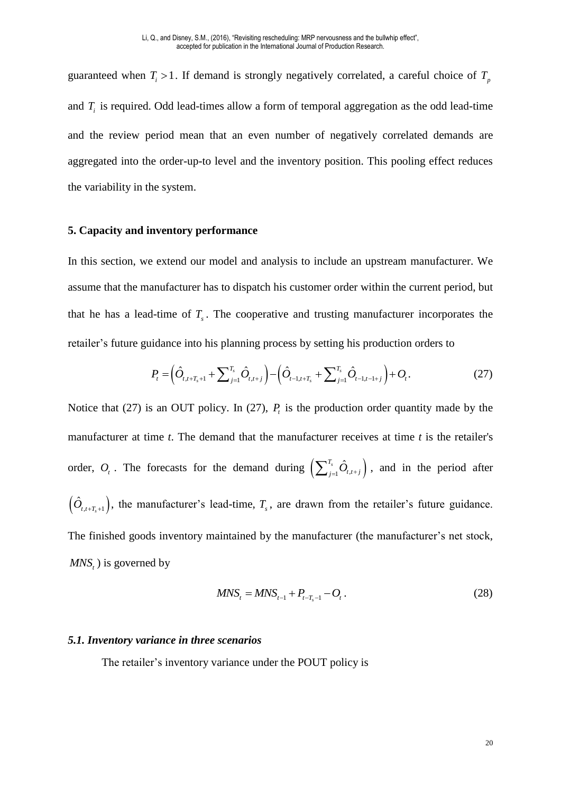guaranteed when  $T_i > 1$ . If demand is strongly negatively correlated, a careful choice of  $T_p$ and  $T_i$  is required. Odd lead-times allow a form of temporal aggregation as the odd lead-time and the review period mean that an even number of negatively correlated demands are aggregated into the order-up-to level and the inventory position. This pooling effect reduces the variability in the system.

#### **5. Capacity and inventory performance**

In this section, we extend our model and analysis to include an upstream manufacturer. We assume that the manufacturer has to dispatch his customer order within the current period, but that he has a lead-time of *T<sup>s</sup>* . The cooperative and trusting manufacturer incorporates the retailer's future guidance into his planning process by setting his production orders to

$$
P_{t} = \left(\hat{O}_{t,t+T_{s}+1} + \sum_{j=1}^{T_{s}} \hat{O}_{t,t+j}\right) - \left(\hat{O}_{t-1,t+T_{s}} + \sum_{j=1}^{T_{s}} \hat{O}_{t-1,t-1+j}\right) + O_{t}.
$$
\n(27)

Notice that (27) is an OUT policy. In (27),  $P_t$  is the production order quantity made by the manufacturer at time *t*. The demand that the manufacturer receives at time *t* is the retailer's order,  $O_t$ . The forecasts for the demand during  $\left(\sum_{j=1}^{T_s} \hat{O}_{t,t+j}\right)$ , and in the period after  $(\hat{O}_{t,t+T_s+1})$ , the manufacturer's lead-time,  $T_s$ , are drawn from the retailer's future guidance. The finished goods inventory maintained by the manufacturer (the manufacturer's net stock, *MNS<sup>t</sup>* ) is governed by

$$
MNS_t = MNS_{t-1} + P_{t-T_s-1} - O_t.
$$
\n(28)

#### *5.1. Inventory variance in three scenarios*

The retailer's inventory variance under the POUT policy is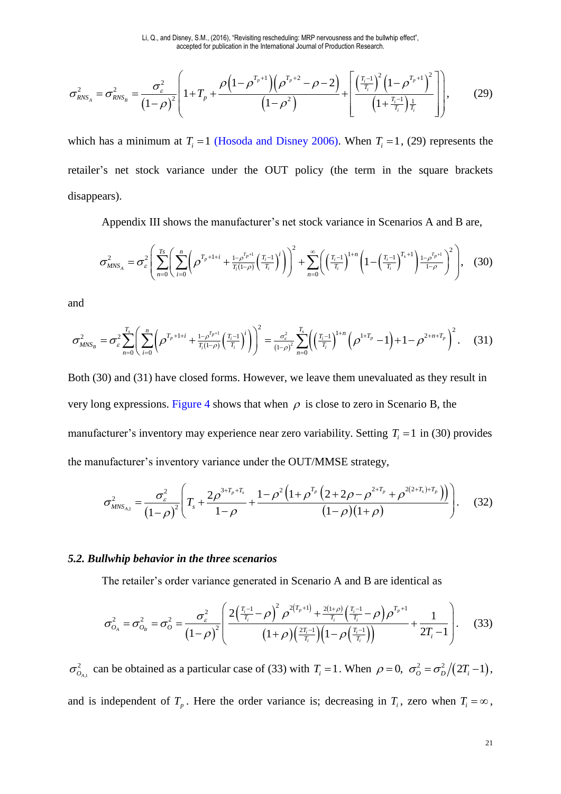$$
\sigma_{RNS_A}^2 = \sigma_{RNS_B}^2 = \frac{\sigma_{\varepsilon}^2}{\left(1-\rho\right)^2} \left[1+T_p + \frac{\rho\left(1-\rho^{T_p+1}\right)\left(\rho^{T_p+2}-\rho-2\right)}{\left(1-\rho^2\right)} + \left[\frac{\left(\frac{T_i-1}{T_i}\right)^2\left(1-\rho^{T_p+1}\right)^2}{\left(1+\frac{T_i-1}{T_i}\right)\frac{1}{T_i}}\right]\right],\tag{29}
$$

which has a minimum at  $T_i = 1$  (Hosoda and Disney 2006). When  $T_i = 1$ , (29) represents the retailer's net stock variance under the OUT policy (the term in the square brackets disappears).

Appendix III shows the manufacturer's net stock variance in Scenarios A and B are,

$$
\sigma_{MNS_A}^2 = \sigma_{\varepsilon}^2 \left( \sum_{n=0}^{T_S} \left( \sum_{i=0}^n \left( \rho^{T_p + 1 + i} + \frac{1 - \rho^{T_p + 1}}{T_i(1 - \rho)} \left( \frac{T_i - 1}{T_i} \right)^i \right) \right)^2 + \sum_{n=0}^{\infty} \left( \left( \frac{T_i - 1}{T_i} \right)^{1 + n} \left( 1 - \left( \frac{T_i - 1}{T_i} \right)^{T_s + 1} \right) \frac{1 - \rho^{T_p + 1}}{1 - \rho} \right)^2 \right), \quad (30)
$$

and

$$
\sigma_{MNS_B}^2 = \sigma_{\varepsilon}^2 \sum_{n=0}^{T_s} \left( \sum_{i=0}^n \left( \rho^{T_p + 1+i} + \frac{1 - \rho^{T_p + 1}}{T_i(1-\rho)} \left( \frac{T_i - 1}{T_i} \right)^i \right) \right)^2 = \frac{\sigma_{\varepsilon}^2}{(1-\rho)^2} \sum_{n=0}^{T_s} \left( \left( \frac{T_i - 1}{T_i} \right)^{1+n} \left( \rho^{1+T_p} - 1 \right) + 1 - \rho^{2+n+T_p} \right)^2. \tag{31}
$$

Both (30) and (31) have closed forms. However, we leave them unevaluated as they result in very long expressions. [Figure 4](#page-22-0) shows that when  $\rho$  is close to zero in Scenario B, the manufacturer's inventory may experience near zero variability. Setting  $T_i = 1$  in (30) provides the manufacturer's inventory variance under the OUT/MMSE strategy,

$$
\sigma_{MNS_{A,l}}^{2} = \frac{\sigma_{\varepsilon}^{2}}{(1-\rho)^{2}} \left( T_{s} + \frac{2\rho^{3+T_{p}+T_{s}}}{1-\rho} + \frac{1-\rho^{2}\left(1+\rho^{T_{p}}\left(2+2\rho-\rho^{2+T_{p}}+\rho^{2(2+T_{s})+T_{p}}\right)\right)}{(1-\rho)(1+\rho)}\right). \tag{32}
$$

#### *5.2. Bullwhip behavior in the three scenarios*

The retailer's order variance generated in Scenario A and B are identical as

$$
\sigma_{O_A}^2 = \sigma_{O_B}^2 = \sigma_O^2 = \frac{\sigma_\varepsilon^2}{\left(1-\rho\right)^2} \left( \frac{2\left(\frac{T_i-1}{T_i}-\rho\right)^2 \rho^{2\left(T_p+1\right)} + \frac{2(1+\rho)}{T_i} \left(\frac{T_i-1}{T_i}-\rho\right) \rho^{T_p+1}}{\left(1+\rho\right) \left(\frac{2T_i-1}{T_i}\right) \left(1-\rho\left(\frac{T_i-1}{T_i}\right)\right)} + \frac{1}{2T_i-1} \right). \tag{33}
$$

,1 2  $\sigma_{O_{A,l}}^2$  can be obtained as a particular case of (33) with  $T_i = 1$ . When  $\rho = 0$ ,  $\sigma_O^2 = \frac{\sigma_D^2}{2T_i - 1}$ , and is independent of  $T_p$ . Here the order variance is; decreasing in  $T_i$ , zero when  $T_i = \infty$ ,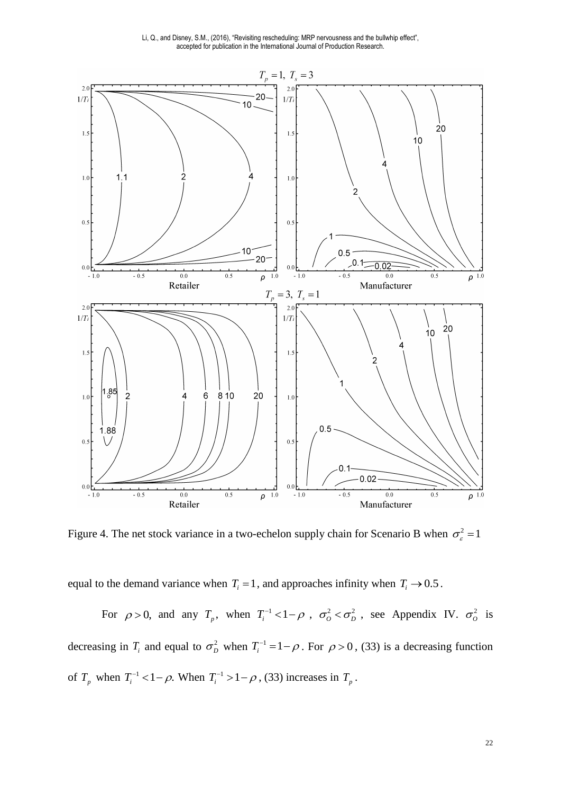

<span id="page-22-0"></span>Figure 4. The net stock variance in a two-echelon supply chain for Scenario B when  $\sigma_{\epsilon}^2 = 1$ 

equal to the demand variance when  $T_i = 1$ , and approaches infinity when  $T_i \rightarrow 0.5$ .

For  $\rho > 0$ , and any  $T_p$ , when  $T_i^{-1} < 1 - \rho$ ,  $\sigma_o^2 < \sigma_p^2$ , see Appendix IV.  $\sigma_o^2$  is decreasing in  $T_i$  and equal to  $\sigma_D^2$  when  $T_i^{-1} = 1 - \rho$ . For  $\rho > 0$ , (33) is a decreasing function of  $T_p$  when  $T_i^{-1} < 1 - \rho$ . When  $T_i^{-1} > 1 - \rho$ , (33) increases in  $T_p$ .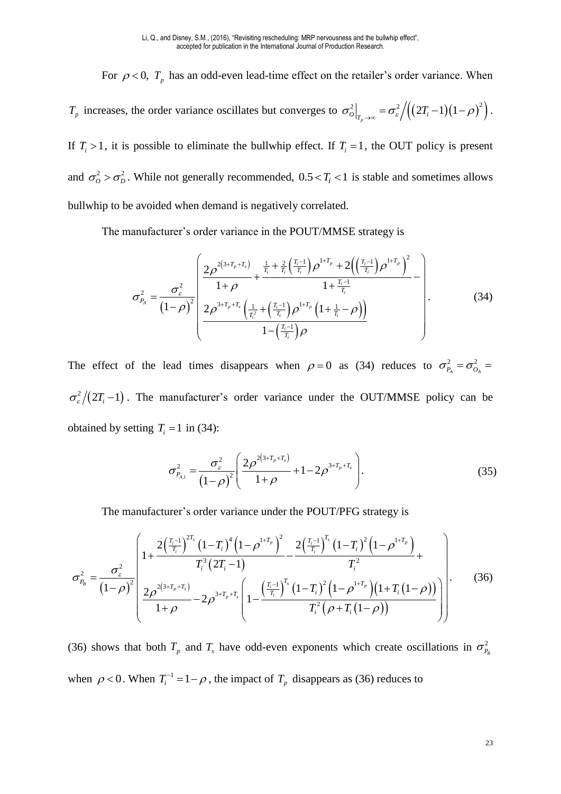For  $\rho < 0$ ,  $T_p$  has an odd-even lead-time effect on the retailer's order variance. When

*T<sub>p</sub>* increases, the order variance oscillates but converges to  $\sigma_o^2\Big|_{T_p\to\infty} = \sigma_{\varepsilon}^2/((2T_i-1)(1-\rho)^2)$ . If  $T_i > 1$ , it is possible to eliminate the bullwhip effect. If  $T_i = 1$ , the OUT policy is present and  $\sigma_o^2 > \sigma_D^2$ . While not generally recommended,  $0.5 < T_i < 1$  is stable and sometimes allows bullwhip to be avoided when demand is negatively correlated.

The manufacturer's order variance in the POUT/MMSE strategy is

$$
\sigma_{P_A}^2 = \frac{\sigma_{\varepsilon}^2}{\left(1-\rho\right)^2} \left( \frac{2\rho^{2\left(3+T_p+T_s\right)}}{1+\rho} + \frac{\frac{1}{T_i} + \frac{2}{T_i} \left(\frac{T_i-1}{T_i}\right) \rho^{1+T_p} + 2\left(\left(\frac{T_i-1}{T_i}\right) \rho^{1+T_p}\right)^2}{1+\frac{T_i-1}{T_i}} - \frac{1}{\left(1-\rho\right)^2} \left(2\rho^{3+T_p+T_s} \left(\frac{1}{T_i^2} + \left(\frac{T_i-1}{T_i}\right) \rho^{1+T_p} \left(1+\frac{1}{T_i}-\rho\right)\right)\right)}{1-\left(\frac{T_i-1}{T_i}\right) \rho} \right). \tag{34}
$$

The effect of the lead times disappears when  $\rho = 0$  as (34) reduces to  $\sigma_{P_A}^2 = \sigma_{O_A}^2 =$  $\sigma_{\varepsilon}^2/(2T_i-1)$ . The manufacturer's order variance under the OUT/MMSE policy can be obtained by setting  $T_i = 1$  in (34):

$$
\sigma_{P_{A,1}}^2 = \frac{\sigma_{\varepsilon}^2}{\left(1-\rho\right)^2} \left(\frac{2\rho^{2\left(3+T_p+T_s\right)}}{1+\rho} + 1 - 2\rho^{3+T_p+T_s}\right). \tag{35}
$$

The manufacturer's order variance under the POUT/PFG strategy is

$$
\sigma_{P_B}^2 = \frac{\sigma_{\varepsilon}^2}{\left(1-\rho\right)^2} \left[1+\frac{2\left(\frac{T_i-1}{T_i}\right)^{2T_s}\left(1-T_i\right)^4\left(1-\rho^{1+T_p}\right)^2}{T_i^3\left(2T_i-1\right)} - \frac{2\left(\frac{T_i-1}{T_i}\right)^{T_s}\left(1-T_i\right)^2\left(1-\rho^{1+T_p}\right)}{T_i^2} + \frac{T_i^2}{\left(1-\rho\right)^2} \left(\frac{2\rho^{2\left(3+T_p+T_s\right)}}{1+\rho} - 2\rho^{3+T_p+T_s}\left(1-\frac{\left(\frac{T_i-1}{T_i}\right)^{T_s}\left(1-T_i\right)^2\left(1-\rho^{1+T_p}\right)\left(1+T_i\left(1-\rho\right)\right)}{T_i^2\left(\rho+T_i\left(1-\rho\right)\right)}\right)\right].
$$
\n(36)

(36) shows that both  $T_p$  and  $T_s$  have odd-even exponents which create oscillations in  $\sigma_{P_B}^2$ when  $\rho < 0$ . When  $T_i^{-1} = 1 - \rho$ , the impact of  $T_p$  disappears as (36) reduces to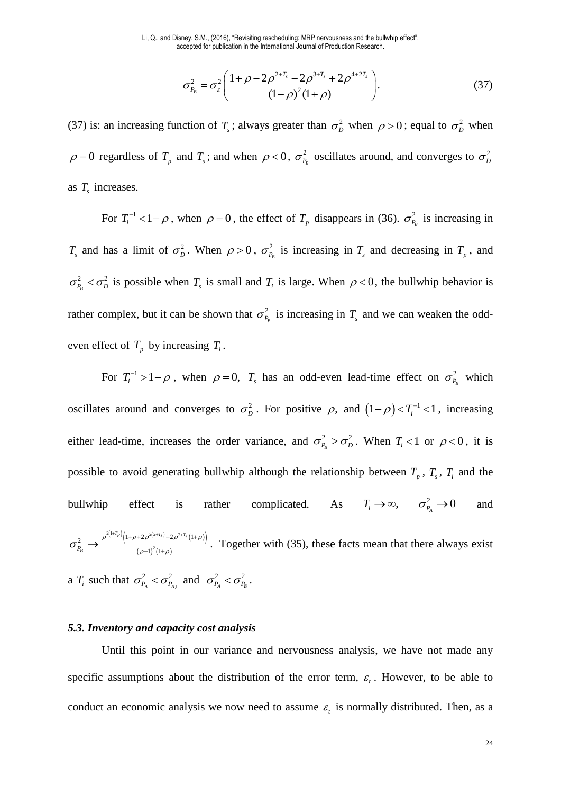$$
\sigma_{P_B}^2 = \sigma_{\varepsilon}^2 \left( \frac{1 + \rho - 2\rho^{2+T_s} - 2\rho^{3+T_s} + 2\rho^{4+2T_s}}{(1 - \rho)^2 (1 + \rho)} \right).
$$
 (37)

(37) is: an increasing function of  $T_s$ ; always greater than  $\sigma_D^2$  when  $\rho > 0$ ; equal to  $\sigma_D^2$  when  $\rho = 0$  regardless of  $T_p$  and  $T_s$ ; and when  $\rho < 0$ ,  $\sigma_p^2$  $\sigma_{P_B}^2$  oscillates around, and converges to  $\sigma_D^2$ as *T<sup>s</sup>* increases.

For  $T_i^{-1}$  < 1 –  $\rho$ , when  $\rho = 0$ , the effect of  $T_p$  disappears in (36).  $\sigma_{P_B}^2$  is increasing in  $T_s$  and has a limit of  $\sigma_p^2$ . When  $\rho > 0$ ,  $\sigma_p^2$  $\sigma_{P_B}^2$  is increasing in  $T_s$  and decreasing in  $T_p$ , and 2  $-2$  $\sigma_{P_B}^2 < \sigma_D^2$  is possible when  $T_s$  is small and  $T_i$  is large. When  $\rho < 0$ , the bullwhip behavior is rather complex, but it can be shown that  $\sigma_{P_B}^2$  is increasing in  $T_s$  and we can weaken the oddeven effect of  $T_p$  by increasing  $T_i$ .

For  $T_i^{-1} > 1 - \rho$ , when  $\rho = 0$ ,  $T_s$  has an odd-even lead-time effect on  $\sigma_{P_B}^2$  which oscillates around and converges to  $\sigma_D^2$ . For positive  $\rho$ , and  $(1-\rho) < T_i^{-1} < 1$ , increasing either lead-time, increases the order variance, and  $\sigma_{P_B}^2 > \sigma_D^2$ . When  $T_i < 1$  or  $\rho < 0$ , it is possible to avoid generating bullwhip although the relationship between  $T_p$ ,  $T_s$ ,  $T_i$  and the bullwhip effect is rather complicated. As  $T_i \rightarrow \infty$ ,  $\sigma_{P_A}^2 \rightarrow 0$  and  $({}^{1+T_p})_{(1+\rho+2\rho^{2(2+T_s)}-2\rho^{2+T_s}(1+\rho))}$  $(\rho - 1)^2 (1 + \rho)$  $2(1+T_p)(1-e^{2(2+T_s)})$  2  $P_{R} \rightarrow \frac{\rho^{2(1+p)}[1+\rho+2\rho^{2(2+I_{S})}-2\rho^{2+I_{S}}]}{(1-\rho)^{2}(1+\rho)}$  $(1)^{2}(1)$  $(T_p)$  $\left(1 + \rho + 2 \rho^{2(2+T_s)} - 2 \rho^{2+T_s}\right)$ *PB*  $\rho^{2(1+T_p)}/(1+\rho+2\rho^{2(2+T_s)}-2\rho^{2+T_s}(1+\rho))$  $\sigma_{P_B} \rightarrow \frac{\sigma_{P_B} \rightarrow \frac{1}{(\rho-1)^2(1+\rho)} }{(\rho-1)^2(1+\rho)}$  $\rightarrow \frac{\rho^{2(1+r_p)}(1+\rho+2\rho^{2(2+r_s)}-2\rho^{2+r_s}(1+\rho))}{(\rho-1)^2(1+\rho)}$ . Together with (35), these facts mean that there always exist a  $T_i$  such that  $\sigma_{P_A}^2 < \sigma_{P_{A,1}}^2$ 2  $-2$  $\sigma_{P_A}^2 < \sigma_{P_{A,1}}^2$  and  $\sigma_{P_A}^2 < \sigma_{P_B}^2$ .

#### *5.3. Inventory and capacity cost analysis*

Until this point in our variance and nervousness analysis, we have not made any specific assumptions about the distribution of the error term,  $\varepsilon$ . However, to be able to conduct an economic analysis we now need to assume  $\varepsilon$ <sub>i</sub> is normally distributed. Then, as a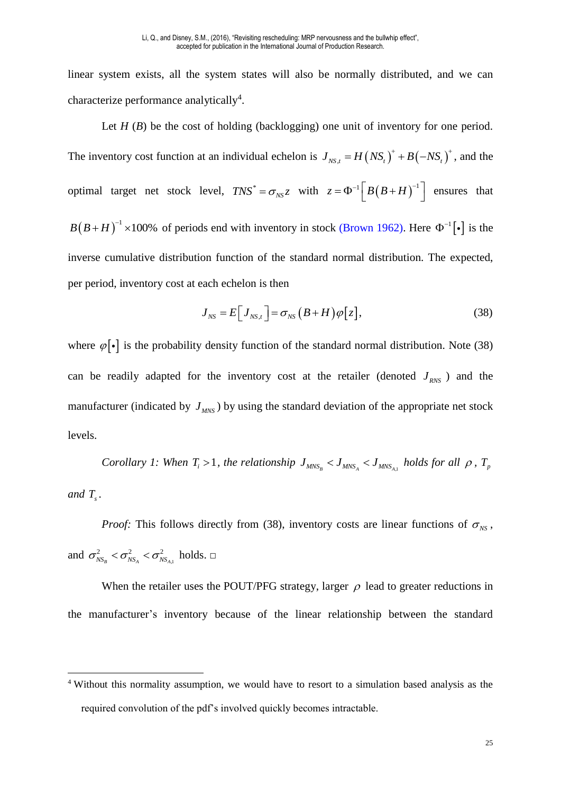linear system exists, all the system states will also be normally distributed, and we can characterize performance analytically<sup>4</sup>.

Let *H* (*B*) be the cost of holding (backlogging) one unit of inventory for one period. The inventory cost function at an individual echelon is  $J_{NS,t} = H (NS_t)^+ + B (-NS_t)^+$ , and the optimal target net stock level,  $TNS^* = \sigma_{NS} z$  with  $z = \Phi^{-1} \left[ B (B + H)^{-1} \right]$  ensures that  $B(B+H)^{-1}$  ×100% of periods end with inventory in stock (Brown 1962). Here  $\Phi^{-1}[\cdot]$  is the inverse cumulative distribution function of the standard normal distribution. The expected, per period, inventory cost at each echelon is then

$$
J_{NS} = E\Big[J_{NS,t}\Big] = \sigma_{NS}\left(B+H\right)\varphi\Big[z\Big],\tag{38}
$$

where  $\varphi[\cdot]$  is the probability density function of the standard normal distribution. Note (38) can be readily adapted for the inventory cost at the retailer (denoted  $J_{RNS}$ ) and the manufacturer (indicated by  $J_{MNS}$ ) by using the standard deviation of the appropriate net stock levels.

*Corollary 1: When*  $T_i > 1$ , the relationship  $J_{MNS_B} < J_{MNS_A} < J_{MNS_{A,i}}$  holds for all  $\rho$ ,  $T_p$ and  $T_s$ .

*Proof:* This follows directly from (38), inventory costs are linear functions of  $\sigma_{NS}$ , and  $\sigma_{NS_B}^2 < \sigma_{NS_A}^2 < \sigma_{NS_{A,1}}^2$ 2  $-2$   $-2$  $\sigma_{NS_B}^2 < \sigma_{NS_A}^2 < \sigma_{NS_{A,1}}^2$  holds.  $\square$ 

When the retailer uses the POUT/PFG strategy, larger  $\rho$  lead to greater reductions in the manufacturer's inventory because of the linear relationship between the standard

<u>.</u>

<sup>&</sup>lt;sup>4</sup> Without this normality assumption, we would have to resort to a simulation based analysis as the required convolution of the pdf's involved quickly becomes intractable.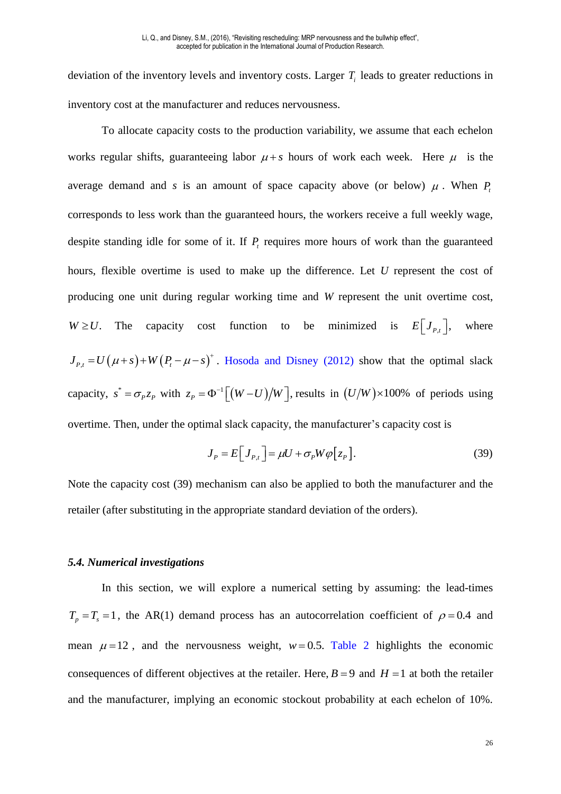deviation of the inventory levels and inventory costs. Larger  $T<sub>i</sub>$  leads to greater reductions in inventory cost at the manufacturer and reduces nervousness.

To allocate capacity costs to the production variability, we assume that each echelon works regular shifts, guaranteeing labor  $\mu + s$  hours of work each week. Here  $\mu$  is the average demand and *s* is an amount of space capacity above (or below)  $\mu$ . When  $P_t$ corresponds to less work than the guaranteed hours, the workers receive a full weekly wage, despite standing idle for some of it. If  $P<sub>t</sub>$  requires more hours of work than the guaranteed hours, flexible overtime is used to make up the difference. Let *U* represent the cost of producing one unit during regular working time and *W* represent the unit overtime cost,  $W \ge U$ . The capacity cost function to be minimized is  $E[J_{P,t}]$ , where  $J_{P,t} = U(\mu+s) + W(P_t - \mu - s)^+$ . Hosoda and Disney (2012) show that the optimal slack capacity,  $s^* = \sigma_p z_p$  with  $z_p = \Phi^{-1} \left[ (W - U) / W \right]$ , results in  $(U/W) \times 100\%$  of periods using overtime. Then, under the optimal slack capacity, the manufacturer's capacity cost is

$$
J_{P} = E\Big[J_{P,t}\Big] = \mu U + \sigma_{P} W \varphi\Big[z_{P}\Big].
$$
\n(39)

Note the capacity cost (39) mechanism can also be applied to both the manufacturer and the retailer (after substituting in the appropriate standard deviation of the orders).

#### *5.4. Numerical investigations*

In this section, we will explore a numerical setting by assuming: the lead-times  $T_p = T_s = 1$ , the AR(1) demand process has an autocorrelation coefficient of  $\rho = 0.4$  and mean  $\mu = 12$ , and the nervousness weight,  $w = 0.5$ . [Table 2](#page-28-0) highlights the economic consequences of different objectives at the retailer. Here,  $B = 9$  and  $H = 1$  at both the retailer and the manufacturer, implying an economic stockout probability at each echelon of 10%.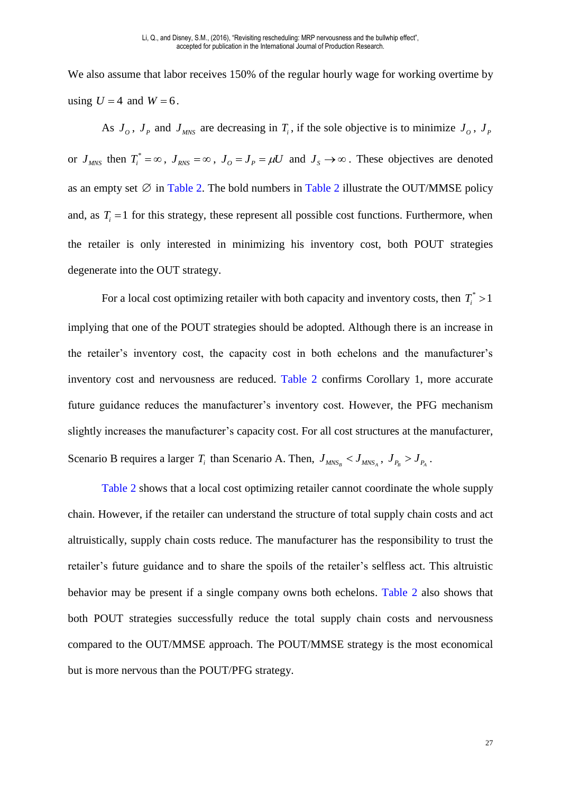We also assume that labor receives 150% of the regular hourly wage for working overtime by using  $U = 4$  and  $W = 6$ .

As  $J_o$ ,  $J_p$  and  $J_{MNS}$  are decreasing in  $T_i$ , if the sole objective is to minimize  $J_o$ ,  $J_p$ or  $J_{MNS}$  then  $T_i^* = \infty$ ,  $J_{RNS} = \infty$ ,  $J_O = J_P = \mu U$  and  $J_S \rightarrow \infty$ . These objectives are denoted as an empty set  $\varnothing$  in [Table 2.](#page-28-0) The bold numbers in [Table 2](#page-28-0) illustrate the OUT/MMSE policy and, as  $T_i = 1$  for this strategy, these represent all possible cost functions. Furthermore, when the retailer is only interested in minimizing his inventory cost, both POUT strategies degenerate into the OUT strategy.

For a local cost optimizing retailer with both capacity and inventory costs, then  $T_i^*$  > 1 implying that one of the POUT strategies should be adopted. Although there is an increase in the retailer's inventory cost, the capacity cost in both echelons and the manufacturer's inventory cost and nervousness are reduced. [Table 2](#page-28-0) confirms Corollary 1, more accurate future guidance reduces the manufacturer's inventory cost. However, the PFG mechanism slightly increases the manufacturer's capacity cost. For all cost structures at the manufacturer, Scenario B requires a larger  $T_i$  than Scenario A. Then,  $J_{MNS_B} < J_{MNS_A}$ ,  $J_{P_B} > J_{P_A}$ .

[Table 2](#page-28-0) shows that a local cost optimizing retailer cannot coordinate the whole supply chain. However, if the retailer can understand the structure of total supply chain costs and act altruistically, supply chain costs reduce. The manufacturer has the responsibility to trust the retailer's future guidance and to share the spoils of the retailer's selfless act. This altruistic behavior may be present if a single company owns both echelons. [Table 2](#page-28-0) also shows that both POUT strategies successfully reduce the total supply chain costs and nervousness compared to the OUT/MMSE approach. The POUT/MMSE strategy is the most economical but is more nervous than the POUT/PFG strategy.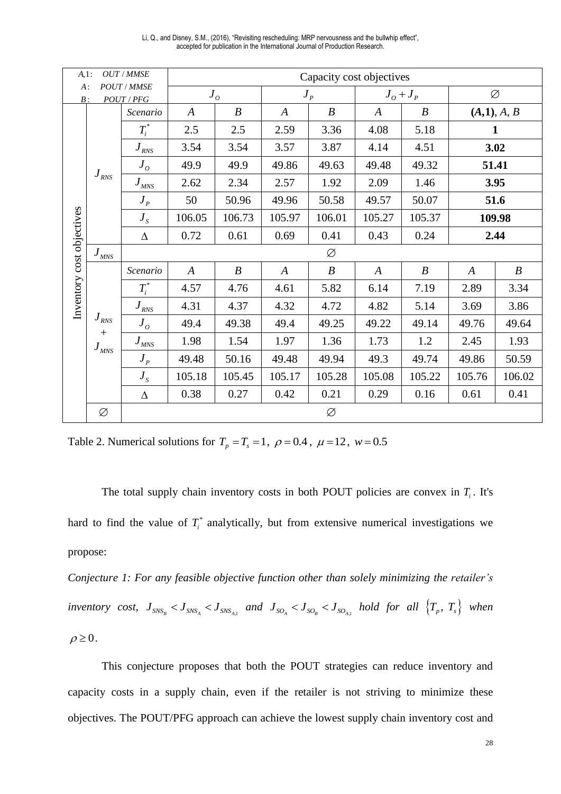| OUT / MMSE<br>$A,1$ :                         |                                            | Capacity cost objectives        |                            |                  |                  |                  |                  |                  |                  |                  |  |  |
|-----------------------------------------------|--------------------------------------------|---------------------------------|----------------------------|------------------|------------------|------------------|------------------|------------------|------------------|------------------|--|--|
| <b>POUT / MMSE</b><br>$A$ :<br>POUT/PFG<br>B: |                                            |                                 | $J_{\scriptscriptstyle O}$ |                  | $J_p$            |                  | $J_o + J_p$      |                  | Ø                |                  |  |  |
|                                               |                                            | Scenario                        | $\boldsymbol{A}$           | $\boldsymbol{B}$ | $\boldsymbol{A}$ | $\boldsymbol{B}$ |                  | $\boldsymbol{B}$ | (A,1), A, B      |                  |  |  |
|                                               |                                            | $T_i^*$                         | 2.5                        | 2.5              | 2.59             | 3.36             | 4.08             | 5.18             |                  | 1                |  |  |
|                                               |                                            | $\boldsymbol{J}_{\textit{RNS}}$ | 3.54                       | 3.54             | 3.57             | 3.87             | 4.14             | 4.51             |                  | 3.02             |  |  |
|                                               |                                            | $J_{\overline{o}}$              | 49.9                       | 49.9             | 49.86            | 49.63            | 49.48            | 49.32            | 51.41            |                  |  |  |
|                                               | $\boldsymbol{J}_{\textit{RNS}}$            | $J_{MNS}$                       | 2.62                       | 2.34             | 2.57             | 1.92             | 2.09             | 1.46             |                  | 3.95             |  |  |
|                                               |                                            | $J_{p}$                         | 50                         | 50.96            | 49.96            | 50.58            | 49.57            | 50.07            |                  | 51.6             |  |  |
|                                               |                                            | $J_{\rm s}$                     | 106.05                     | 106.73           | 105.97           | 106.01           | 105.27           | 105.37           |                  | 109.98           |  |  |
|                                               |                                            | $\Delta$                        | 0.72<br>0.61               |                  | 0.69             | 0.41             | 0.43             | 0.24             | 2.44             |                  |  |  |
|                                               | $J_{\textit{M}\textit{NS}}$                |                                 |                            |                  |                  | Ø                |                  |                  |                  |                  |  |  |
|                                               |                                            | Scenario                        | $\boldsymbol{A}$           | $\boldsymbol{B}$ | $\boldsymbol{A}$ | $\boldsymbol{B}$ | $\boldsymbol{A}$ | $\boldsymbol{B}$ | $\boldsymbol{A}$ | $\boldsymbol{B}$ |  |  |
| Inventory cost objectives                     |                                            | $T_i^*$                         | 4.57                       | 4.76             | 4.61             | 5.82             | 6.14             | 7.19             | 2.89             | 3.34             |  |  |
|                                               |                                            | $J_{RNS}$                       | 4.31                       | 4.37             | 4.32             | 4.72             | 4.82             | 5.14             | 3.69             | 3.86             |  |  |
|                                               | $J_{\rm \scriptscriptstyle RNS}$           | $J_{\overline{o}}$              | 49.4                       | 49.38            | 49.4             | 49.25            | 49.22            | 49.14            | 49.76            | 49.64            |  |  |
|                                               | $^{+}$<br>$J_{\rm \scriptscriptstyle MNS}$ | $J_{MNS}$                       | 1.98                       | 1.54             | 1.97             | 1.36             | 1.73             | 1.2              | 2.45             | 1.93             |  |  |
|                                               |                                            | $J_{p}$                         | 49.48                      | 50.16            | 49.48            | 49.94            | 49.3             | 49.74            | 49.86            | 50.59            |  |  |
|                                               |                                            | $J_{S}$                         | 105.18                     | 105.45           | 105.17           | 105.28           | 105.08           | 105.22           | 105.76           | 106.02           |  |  |
|                                               |                                            | $\Delta$                        | 0.38                       | 0.27             | 0.42             | 0.21             | 0.29             | 0.16             | 0.61             | 0.41             |  |  |
|                                               | Ø                                          | Ø                               |                            |                  |                  |                  |                  |                  |                  |                  |  |  |

Li, Q., and Disney, S.M., (2016), "Revisiting rescheduling: MRP nervousness and the bullwhip effect", accepted for publication in the International Journal of Production Research.

<span id="page-28-0"></span>Table 2. Numerical solutions for  $T_p = T_s = 1$ ,  $\rho = 0.4$ ,  $\mu = 12$ ,  $w = 0.5$ 

The total supply chain inventory costs in both POUT policies are convex in  $T_i$ . It's hard to find the value of  $T_i^*$  analytically, but from extensive numerical investigations we propose:

*Conjecture 1: For any feasible objective function other than solely minimizing the retailer's inventory cost,*  $J_{SNS_B}$   $$and  $J_{SO_A}$   $$hold for all  $\{T_p, T_s\}$  when$$$$  $\rho \geq 0$ .

This conjecture proposes that both the POUT strategies can reduce inventory and capacity costs in a supply chain, even if the retailer is not striving to minimize these objectives. The POUT/PFG approach can achieve the lowest supply chain inventory cost and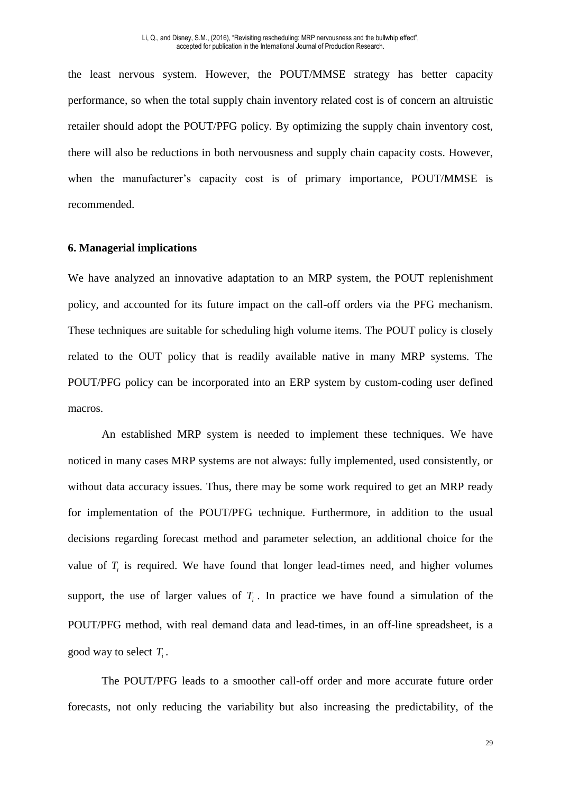the least nervous system. However, the POUT/MMSE strategy has better capacity performance, so when the total supply chain inventory related cost is of concern an altruistic retailer should adopt the POUT/PFG policy. By optimizing the supply chain inventory cost, there will also be reductions in both nervousness and supply chain capacity costs. However, when the manufacturer's capacity cost is of primary importance, POUT/MMSE is recommended.

#### **6. Managerial implications**

We have analyzed an innovative adaptation to an MRP system, the POUT replenishment policy, and accounted for its future impact on the call-off orders via the PFG mechanism. These techniques are suitable for scheduling high volume items. The POUT policy is closely related to the OUT policy that is readily available native in many MRP systems. The POUT/PFG policy can be incorporated into an ERP system by custom-coding user defined macros.

An established MRP system is needed to implement these techniques. We have noticed in many cases MRP systems are not always: fully implemented, used consistently, or without data accuracy issues. Thus, there may be some work required to get an MRP ready for implementation of the POUT/PFG technique. Furthermore, in addition to the usual decisions regarding forecast method and parameter selection, an additional choice for the value of  $T_i$  is required. We have found that longer lead-times need, and higher volumes support, the use of larger values of  $T_i$ . In practice we have found a simulation of the POUT/PFG method, with real demand data and lead-times, in an off-line spreadsheet, is a good way to select *T<sup>i</sup>* .

The POUT/PFG leads to a smoother call-off order and more accurate future order forecasts, not only reducing the variability but also increasing the predictability, of the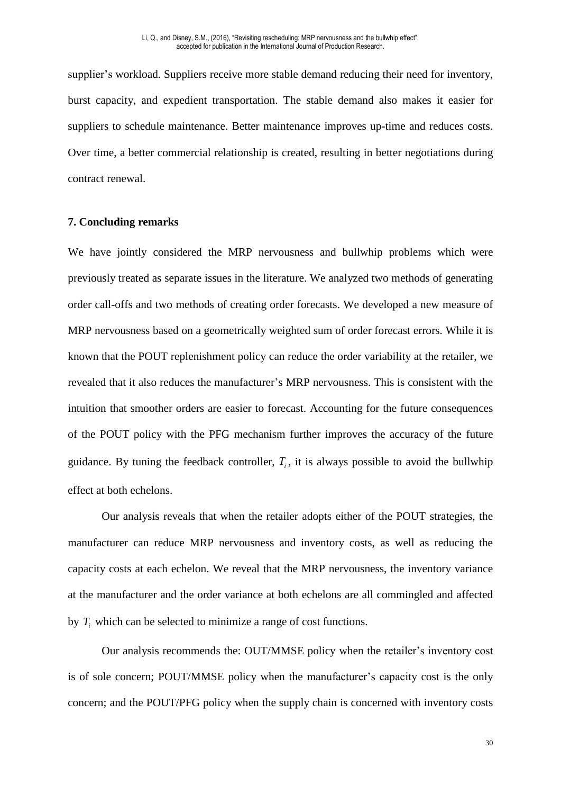supplier's workload. Suppliers receive more stable demand reducing their need for inventory, burst capacity, and expedient transportation. The stable demand also makes it easier for suppliers to schedule maintenance. Better maintenance improves up-time and reduces costs. Over time, a better commercial relationship is created, resulting in better negotiations during contract renewal.

#### **7. Concluding remarks**

We have jointly considered the MRP nervousness and bullwhip problems which were previously treated as separate issues in the literature. We analyzed two methods of generating order call-offs and two methods of creating order forecasts. We developed a new measure of MRP nervousness based on a geometrically weighted sum of order forecast errors. While it is known that the POUT replenishment policy can reduce the order variability at the retailer, we revealed that it also reduces the manufacturer's MRP nervousness. This is consistent with the intuition that smoother orders are easier to forecast. Accounting for the future consequences of the POUT policy with the PFG mechanism further improves the accuracy of the future guidance. By tuning the feedback controller,  $T_i$ , it is always possible to avoid the bullwhip effect at both echelons.

Our analysis reveals that when the retailer adopts either of the POUT strategies, the manufacturer can reduce MRP nervousness and inventory costs, as well as reducing the capacity costs at each echelon. We reveal that the MRP nervousness, the inventory variance at the manufacturer and the order variance at both echelons are all commingled and affected by  $T_i$  which can be selected to minimize a range of cost functions.

Our analysis recommends the: OUT/MMSE policy when the retailer's inventory cost is of sole concern; POUT/MMSE policy when the manufacturer's capacity cost is the only concern; and the POUT/PFG policy when the supply chain is concerned with inventory costs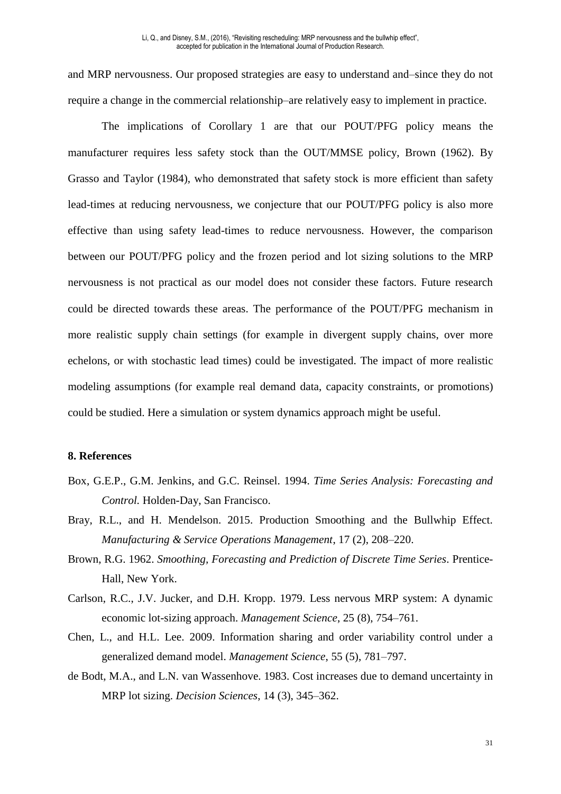and MRP nervousness. Our proposed strategies are easy to understand and–since they do not require a change in the commercial relationship–are relatively easy to implement in practice.

The implications of Corollary 1 are that our POUT/PFG policy means the manufacturer requires less safety stock than the OUT/MMSE policy, Brown (1962). By Grasso and Taylor (1984), who demonstrated that safety stock is more efficient than safety lead-times at reducing nervousness, we conjecture that our POUT/PFG policy is also more effective than using safety lead-times to reduce nervousness. However, the comparison between our POUT/PFG policy and the frozen period and lot sizing solutions to the MRP nervousness is not practical as our model does not consider these factors. Future research could be directed towards these areas. The performance of the POUT/PFG mechanism in more realistic supply chain settings (for example in divergent supply chains, over more echelons, or with stochastic lead times) could be investigated. The impact of more realistic modeling assumptions (for example real demand data, capacity constraints, or promotions) could be studied. Here a simulation or system dynamics approach might be useful.

#### **8. References**

- Box, G.E.P., G.M. Jenkins, and G.C. Reinsel. 1994. *Time Series Analysis: Forecasting and Control.* Holden-Day, San Francisco.
- Bray, R.L., and H. Mendelson. 2015. Production Smoothing and the Bullwhip Effect. *Manufacturing & Service Operations Management*, 17 (2), 208–220.
- Brown, R.G. 1962. *Smoothing, Forecasting and Prediction of Discrete Time Series*. Prentice-Hall, New York.
- Carlson, R.C., J.V. Jucker, and D.H. Kropp. 1979. Less nervous MRP system: A dynamic economic lot-sizing approach. *Management Science*, 25 (8), 754–761.
- Chen, L., and H.L. Lee. 2009. Information sharing and order variability control under a generalized demand model. *Management Science*, 55 (5), 781–797.
- de Bodt, M.A., and L.N. van Wassenhove. 1983. Cost increases due to demand uncertainty in MRP lot sizing. *Decision Sciences*, 14 (3), 345–362.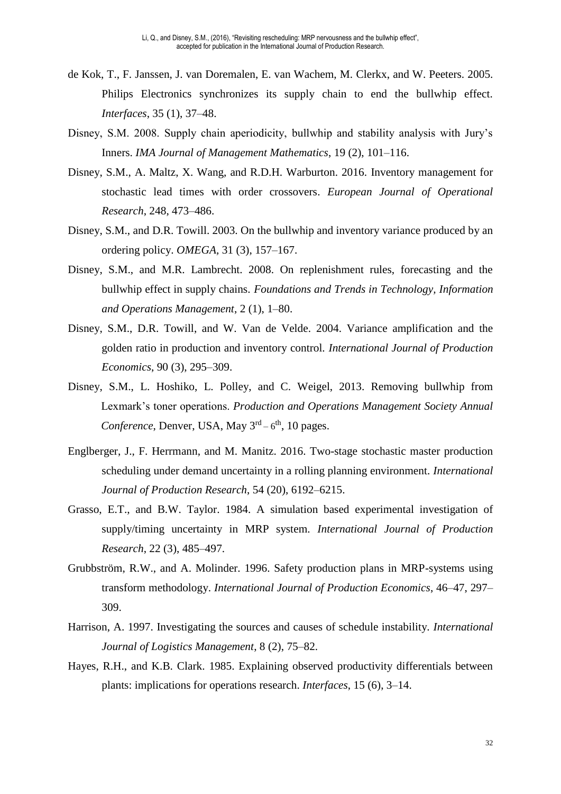- de Kok, T., F. Janssen, J. van Doremalen, E. van Wachem, M. Clerkx, and W. Peeters. 2005. Philips Electronics synchronizes its supply chain to end the bullwhip effect. *Interfaces*, 35 (1), 37–48.
- Disney, S.M. 2008. Supply chain aperiodicity, bullwhip and stability analysis with Jury's Inners. *IMA Journal of Management Mathematics*, 19 (2), 101–116.
- Disney, S.M., A. Maltz, X. Wang, and R.D.H. Warburton. 2016. Inventory management for stochastic lead times with order crossovers. *European Journal of Operational Research*, 248, 473–486.
- Disney, S.M., and D.R. Towill. 2003. On the bullwhip and inventory variance produced by an ordering policy. *OMEGA,* 31 (3), 157–167.
- Disney, S.M., and M.R. Lambrecht. 2008. On replenishment rules, forecasting and the bullwhip effect in supply chains. *Foundations and Trends in Technology, Information and Operations Management*, 2 (1), 1–80.
- Disney, S.M., D.R. Towill, and W. Van de Velde. 2004. Variance amplification and the golden ratio in production and inventory control*. International Journal of Production Economics*, 90 (3), 295–309.
- Disney, S.M., L. Hoshiko, L. Polley, and C. Weigel, 2013. Removing bullwhip from Lexmark's toner operations. *Production and Operations Management Society Annual*  Conference, Denver, USA, May 3<sup>rd</sup> – 6<sup>th</sup>, 10 pages.
- Englberger, J., F. Herrmann, and M. Manitz. 2016. Two-stage stochastic master production scheduling under demand uncertainty in a rolling planning environment. *International Journal of Production Research*, 54 (20), 6192–6215.
- Grasso, E.T., and B.W. Taylor. 1984. A simulation based experimental investigation of supply/timing uncertainty in MRP system. *International Journal of Production Research*, 22 (3), 485–497.
- Grubbström, R.W., and A. Molinder. 1996. Safety production plans in MRP-systems using transform methodology. *International Journal of Production Economics*, 46–47, 297– 309.
- Harrison, A. 1997. Investigating the sources and causes of schedule instability. *International Journal of Logistics Management*, 8 (2), 75–82.
- Hayes, R.H., and K.B. Clark. 1985. Explaining observed productivity differentials between plants: implications for operations research. *Interfaces*, 15 (6), 3–14.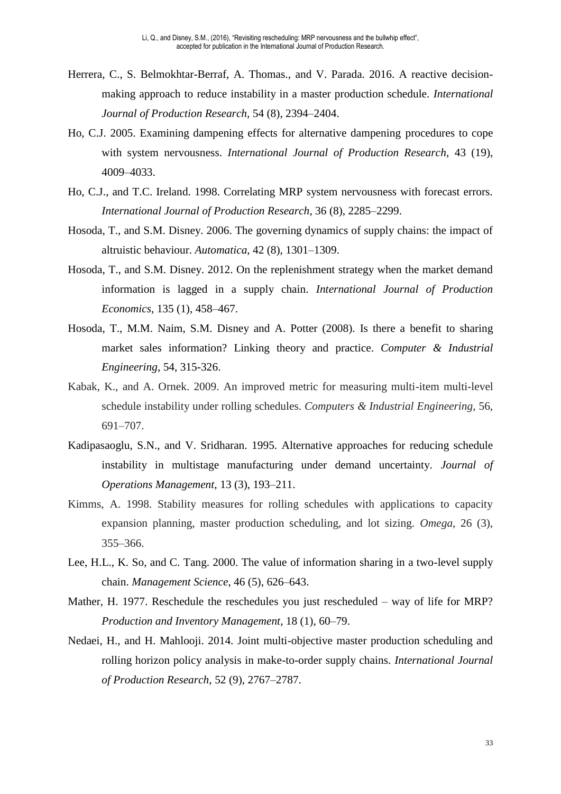- Herrera, C., S. Belmokhtar-Berraf, A. Thomas., and V. Parada. 2016. A reactive decisionmaking approach to reduce instability in a master production schedule. *International Journal of Production Research*, 54 (8), 2394–2404.
- Ho, C.J. 2005. Examining dampening effects for alternative dampening procedures to cope with system nervousness. *International Journal of Production Research*, 43 (19), 4009–4033.
- Ho, C.J., and T.C. Ireland. 1998. Correlating MRP system nervousness with forecast errors. *International Journal of Production Research*, 36 (8), 2285–2299.
- Hosoda, T., and S.M. Disney. 2006. The governing dynamics of supply chains: the impact of altruistic behaviour. *Automatica*, 42 (8), 1301–1309.
- Hosoda, T., and S.M. Disney. 2012. On the replenishment strategy when the market demand information is lagged in a supply chain. *International Journal of Production Economics*, 135 (1), 458–467.
- Hosoda, T., M.M. Naim, S.M. Disney and A. Potter (2008). Is there a benefit to sharing market sales information? Linking theory and practice. *Computer & Industrial Engineering*, 54, 315-326.
- Kabak, K., and A. Ornek. 2009. An improved metric for measuring multi-item multi-level schedule instability under rolling schedules. *Computers & Industrial Engineering*, 56, 691–707.
- Kadipasaoglu, S.N., and V. Sridharan. 1995. Alternative approaches for reducing schedule instability in multistage manufacturing under demand uncertainty. *Journal of Operations Management*, 13 (3), 193–211.
- Kimms, A. 1998. Stability measures for rolling schedules with applications to capacity expansion planning, master production scheduling, and lot sizing. *Omega*, 26 (3), 355–366.
- Lee, H.L., K. So, and C. Tang. 2000. The value of information sharing in a two-level supply chain. *Management Science*, 46 (5), 626–643.
- Mather, H. 1977. Reschedule the reschedules you just rescheduled way of life for MRP? *Production and Inventory Management*, 18 (1), 60–79.
- Nedaei, H., and H. Mahlooji. 2014. Joint multi-objective master production scheduling and rolling horizon policy analysis in make-to-order supply chains. *International Journal of Production Research*, 52 (9), 2767–2787.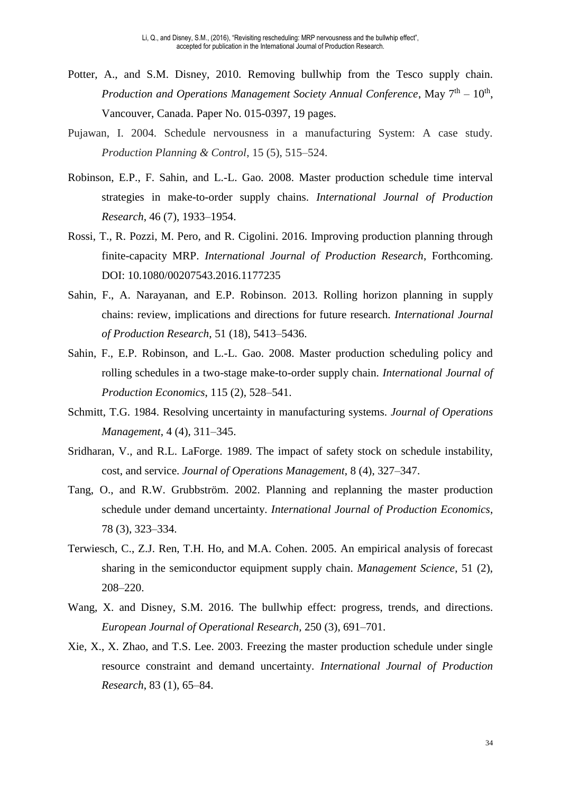- Potter, A., and S.M. Disney, 2010. Removing bullwhip from the Tesco supply chain. *Production and Operations Management Society Annual Conference*, May  $7<sup>th</sup> - 10<sup>th</sup>$ , Vancouver, Canada. Paper No. 015-0397, 19 pages.
- Pujawan, I. 2004. Schedule nervousness in a manufacturing System: A case study. *Production Planning & Control*, 15 (5), 515–524.
- Robinson, E.P., F. Sahin, and L.-L. Gao. 2008. Master production schedule time interval strategies in make-to-order supply chains. *International Journal of Production Research*, 46 (7), 1933–1954.
- Rossi, T., R. Pozzi, M. Pero, and R. Cigolini. 2016. Improving production planning through finite-capacity MRP. *International Journal of Production Research*, Forthcoming. DOI: 10.1080/00207543.2016.1177235
- Sahin, F., A. Narayanan, and E.P. Robinson. 2013. Rolling horizon planning in supply chains: review, implications and directions for future research. *International Journal of Production Research*, 51 (18), 5413–5436.
- Sahin, F., E.P. Robinson, and L.-L. Gao. 2008. Master production scheduling policy and rolling schedules in a two-stage make-to-order supply chain. *International Journal of Production Economics*, 115 (2), 528–541.
- Schmitt, T.G. 1984. Resolving uncertainty in manufacturing systems. *Journal of Operations Management*, 4 (4), 311–345.
- Sridharan, V., and R.L. LaForge. 1989. The impact of safety stock on schedule instability, cost, and service. *Journal of Operations Management*, 8 (4), 327–347.
- Tang, O., and R.W. Grubbström. 2002. Planning and replanning the master production schedule under demand uncertainty. *International Journal of Production Economics*, 78 (3), 323–334.
- Terwiesch, C., Z.J. Ren, T.H. Ho, and M.A. Cohen. 2005. An empirical analysis of forecast sharing in the semiconductor equipment supply chain. *Management Science*, 51 (2), 208–220.
- Wang, X. and Disney, S.M. 2016. The bullwhip effect: progress, trends, and directions. *European Journal of Operational Research,* 250 (3), 691–701.
- Xie, X., X. Zhao, and T.S. Lee. 2003. Freezing the master production schedule under single resource constraint and demand uncertainty. *International Journal of Production Research*, 83 (1), 65–84.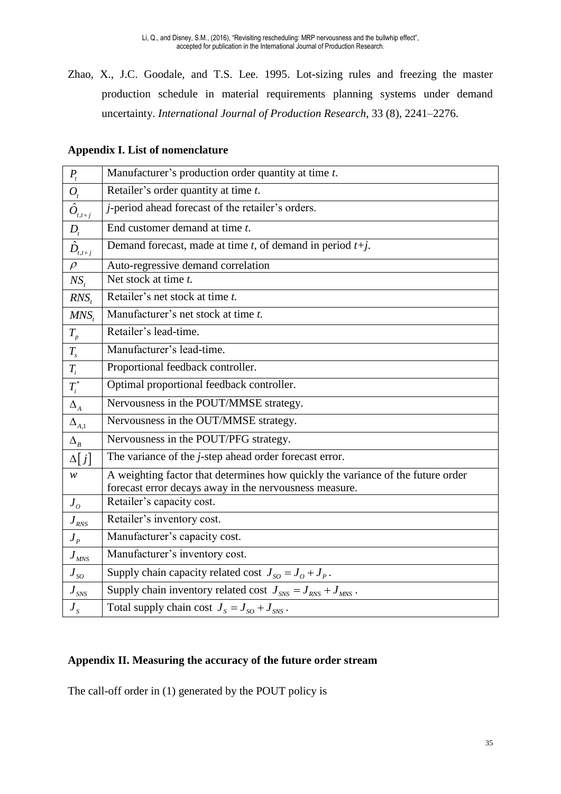Zhao, X., J.C. Goodale, and T.S. Lee. 1995. Lot-sizing rules and freezing the master production schedule in material requirements planning systems under demand uncertainty. *International Journal of Production Research*, 33 (8), 2241–2276.

|  |  |  |  | <b>Appendix I. List of nomenclature</b> |
|--|--|--|--|-----------------------------------------|
|--|--|--|--|-----------------------------------------|

| $P_{t}$                                         | Manufacturer's production order quantity at time t.                                                                                       |
|-------------------------------------------------|-------------------------------------------------------------------------------------------------------------------------------------------|
| $O_t$                                           | Retailer's order quantity at time t.                                                                                                      |
| $\overline{\hat{O}}_{\scriptscriptstyle t,t+j}$ | <i>j</i> -period ahead forecast of the retailer's orders.                                                                                 |
| $D_t$                                           | End customer demand at time t.                                                                                                            |
| $\bar{\hat{D}}_{t,t+j}$                         | Demand forecast, made at time $t$ , of demand in period $t+j$ .                                                                           |
| $\rho$                                          | Auto-regressive demand correlation                                                                                                        |
| $NS_{t}$                                        | Net stock at time t.                                                                                                                      |
| $RNS_{t}$                                       | Retailer's net stock at time t.                                                                                                           |
| $MNS_t$                                         | Manufacturer's net stock at time t.                                                                                                       |
| $T_{\scriptscriptstyle p}$                      | Retailer's lead-time.                                                                                                                     |
| $T_{\scriptscriptstyle s}$                      | Manufacturer's lead-time.                                                                                                                 |
| $\mathcal{T}_i$                                 | Proportional feedback controller.                                                                                                         |
| $T_i^\ast$                                      | Optimal proportional feedback controller.                                                                                                 |
| $\Delta_{\scriptscriptstyle{A}}$                | Nervousness in the POUT/MMSE strategy.                                                                                                    |
| $\Delta_{_{A,1}}$                               | Nervousness in the OUT/MMSE strategy.                                                                                                     |
| $\Delta_R$                                      | Nervousness in the POUT/PFG strategy.                                                                                                     |
| $\Delta[j]$                                     | The variance of the <i>j</i> -step ahead order forecast error.                                                                            |
| w                                               | A weighting factor that determines how quickly the variance of the future order<br>forecast error decays away in the nervousness measure. |
| $J_{\rho}$                                      | Retailer's capacity cost.                                                                                                                 |
| $\boldsymbol{J}_{\textit{RNS}}$                 | Retailer's inventory cost.                                                                                                                |
| $J_{p}$                                         | Manufacturer's capacity cost.                                                                                                             |
| $J_{MNS}$                                       | Manufacturer's inventory cost.                                                                                                            |
| $J_{SO}$                                        | Supply chain capacity related cost $J_{SO} = J_o + J_p$ .                                                                                 |
| $J_{SNS}$                                       | Supply chain inventory related cost $J_{SNS} = J_{RNS} + J_{MNS}$ .                                                                       |
| $J_{\rm s}$                                     | Total supply chain cost $J_s = J_{so} + J_{SNS}$ .                                                                                        |

#### **Appendix II. Measuring the accuracy of the future order stream**

The call-off order in (1) generated by the POUT policy is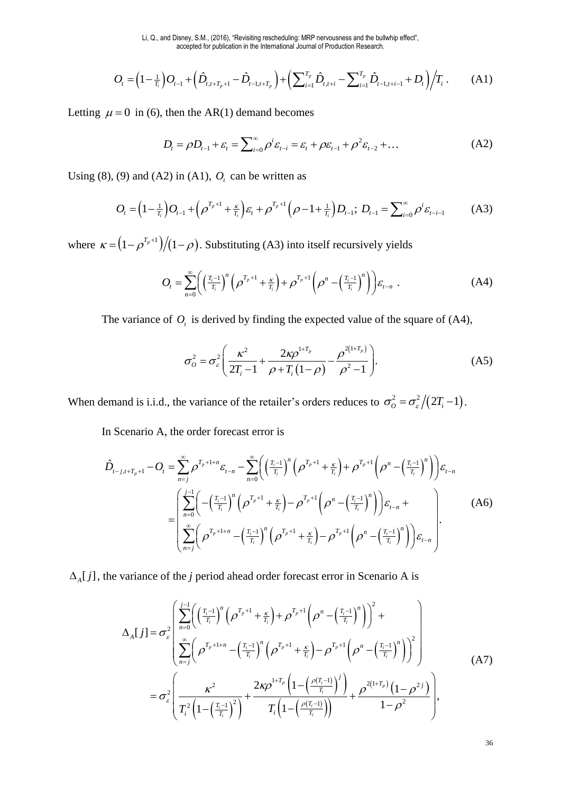$$
O_{t} = \left(1 - \frac{1}{T_{i}}\right)O_{t-1} + \left(\hat{D}_{t,t+T_{p}+1} - \hat{D}_{t-1,t+T_{p}}\right) + \left(\sum_{i=1}^{T_{p}} \hat{D}_{t,t+i} - \sum_{i=1}^{T_{p}} \hat{D}_{t-1,t+i-1} + D_{t}\right) / T_{i}.
$$
 (A1)

Letting  $\mu = 0$  in (6), then the AR(1) demand becomes

$$
D_{t} = \rho D_{t-1} + \varepsilon_{t} = \sum_{i=0}^{\infty} \rho^{i} \varepsilon_{t-i} = \varepsilon_{t} + \rho \varepsilon_{t-1} + \rho^{2} \varepsilon_{t-2} + \dots
$$
 (A2)

Using (8), (9) and (A2) in (A1),  $O_t$  can be written as

$$
O_{t} = \left(1 - \frac{1}{T_{i}}\right)O_{t-1} + \left(\rho^{T_{p}+1} + \frac{\kappa}{T_{i}}\right)\varepsilon_{t} + \rho^{T_{p}+1}\left(\rho - 1 + \frac{1}{T_{i}}\right)D_{t-1}; D_{t-1} = \sum_{i=0}^{\infty} \rho^{i}\varepsilon_{t-i-1}
$$
 (A3)

where  $\kappa = (1 - \rho^{T_p+1})/(1 - \rho)$ . Substituting (A3) into itself recursively yields

$$
O_t = \sum_{n=0}^{\infty} \left( \left( \frac{T_i - 1}{T_i} \right)^n \left( \rho^{T_p + 1} + \frac{\kappa}{T_i} \right) + \rho^{T_p + 1} \left( \rho^n - \left( \frac{T_i - 1}{T_i} \right)^n \right) \right) \varepsilon_{t-n} \tag{A4}
$$

The variance of  $O_t$  is derived by finding the expected value of the square of (A4),

$$
\sigma_o^2 = \sigma_{\varepsilon}^2 \left( \frac{\kappa^2}{2T_i - 1} + \frac{2\kappa \rho^{1+T_p}}{\rho + T_i (1 - \rho)} - \frac{\rho^{2(1+T_p)}}{\rho^2 - 1} \right).
$$
 (A5)

When demand is i.i.d., the variance of the retailer's orders reduces to  $\sigma_o^2 = \frac{\sigma_e^2}{2T_i - 1}$ .

In Scenario A, the order forecast error is

$$
\hat{D}_{t-j,t+T_p+1} - O_t = \sum_{n=j}^{\infty} \rho^{T_p+1+n} \varepsilon_{t-n} - \sum_{n=0}^{\infty} \left( \left( \frac{T_i - 1}{T_i} \right)^n \left( \rho^{T_p+1} + \frac{\kappa}{T_i} \right) + \rho^{T_p+1} \left( \rho^n - \left( \frac{T_i - 1}{T_i} \right)^n \right) \varepsilon_{t-n} \n= \left( \sum_{n=0}^{j-1} \left( -\left( \frac{T_i - 1}{T_i} \right)^n \left( \rho^{T_p+1} + \frac{\kappa}{T_i} \right) - \rho^{T_p+1} \left( \rho^n - \left( \frac{T_i - 1}{T_i} \right)^n \right) \varepsilon_{t-n} + \sum_{n=0}^{\infty} \left( \rho^{T_p+1+n} - \left( \frac{T_i - 1}{T_i} \right)^n \left( \rho^{T_p+1} + \frac{\kappa}{T_i} \right) - \rho^{T_p+1} \left( \rho^n - \left( \frac{T_i - 1}{T_i} \right)^n \right) \varepsilon_{t-n} \right).
$$
\n(A6)

 $\Delta_A[j]$ , the variance of the *j* period ahead order forecast error in Scenario A is

$$
\Delta_{A}[j] = \sigma_{\varepsilon}^{2} \left( \sum_{n=0}^{j-1} \left( \left( \frac{T_{i}-1}{T_{i}} \right)^{n} \left( \rho^{T_{p}+1} + \frac{\kappa}{T_{i}} \right) + \rho^{T_{p}+1} \left( \rho^{n} - \left( \frac{T_{i}-1}{T_{i}} \right)^{n} \right) \right)^{2} + \sum_{n=j}^{\infty} \left( \rho^{T_{p}+1+n} - \left( \frac{T_{i}-1}{T_{i}} \right)^{n} \left( \rho^{T_{p}+1} + \frac{\kappa}{T_{i}} \right) - \rho^{T_{p}+1} \left( \rho^{n} - \left( \frac{T_{i}-1}{T_{i}} \right)^{n} \right) \right)^{2} \right) \right)
$$
\n
$$
= \sigma_{\varepsilon}^{2} \left( \frac{\kappa^{2}}{T_{i}^{2} \left( 1 - \left( \frac{T_{i}-1}{T_{i}} \right)^{2} \right)} + \frac{2\kappa \rho^{1+T_{p}} \left( 1 - \left( \frac{\rho(T_{i}-1)}{T_{i}} \right)^{j} \right)}{T_{i} \left( 1 - \left( \frac{\rho(T_{i}-1)}{T_{i}} \right) \right)} + \frac{\rho^{2(1+T_{p})} \left( 1 - \rho^{2j} \right)}{1 - \rho^{2}} \right), \tag{A7}
$$

36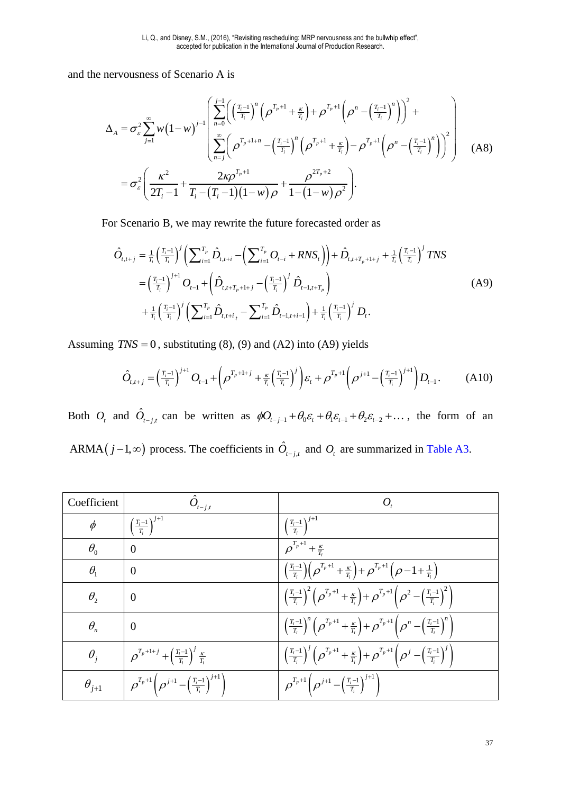and the nervousness of Scenario A is

$$
\Delta_{A} = \sigma_{\varepsilon}^{2} \sum_{j=1}^{\infty} w (1-w)^{j-1} \left( \sum_{n=0}^{j-1} \left( \left( \frac{T_{i}-1}{T_{i}} \right)^{n} \left( \rho^{T_{p}+1} + \frac{\kappa}{T_{i}} \right) + \rho^{T_{p}+1} \left( \rho^{n} - \left( \frac{T_{i}-1}{T_{i}} \right)^{n} \right) \right)^{2} + \sum_{n=j}^{\infty} \left( \rho^{T_{p}+1+n} - \left( \frac{T_{i}-1}{T_{i}} \right)^{n} \left( \rho^{T_{p}+1} + \frac{\kappa}{T_{i}} \right) - \rho^{T_{p}+1} \left( \rho^{n} - \left( \frac{T_{i}-1}{T_{i}} \right)^{n} \right) \right)^{2} \right) \tag{A8}
$$
  

$$
= \sigma_{\varepsilon}^{2} \left( \frac{\kappa^{2}}{2T_{i}-1} + \frac{2\kappa \rho^{T_{p}+1}}{T_{i} - (T_{i}-1)(1-w)\rho} + \frac{\rho^{2T_{p}+2}}{1 - (1-w)\rho^{2}} \right).
$$

For Scenario B, we may rewrite the future forecasted order as

$$
\hat{O}_{t,t+j} = \frac{1}{T_i} \left(\frac{T_i - 1}{T_i}\right)^j \left(\sum_{i=1}^{T_p} \hat{D}_{t,t+i} - \left(\sum_{i=1}^{T_p} O_{t-i} + RNS_t\right)\right) + \hat{D}_{t,t+T_p+1+j} + \frac{1}{T_i} \left(\frac{T_i - 1}{T_i}\right)^j TNS
$$
\n
$$
= \left(\frac{T_i - 1}{T_i}\right)^{j+1} O_{t-1} + \left(\hat{D}_{t,t+T_p+1+j} - \left(\frac{T_i - 1}{T_i}\right)^j \hat{D}_{t-1,t+T_p}\right)
$$
\n
$$
+ \frac{1}{T_i} \left(\frac{T_i - 1}{T_i}\right)^j \left(\sum_{i=1}^{T_p} \hat{D}_{t,t+i} - \sum_{i=1}^{T_p} \hat{D}_{t-1,t+i-1}\right) + \frac{1}{T_i} \left(\frac{T_i - 1}{T_i}\right)^j D_t.
$$
\n(A9)

Assuming  $TNS = 0$ , substituting (8), (9) and (A2) into (A9) yields

$$
\hat{O}_{t,t+j} = \left(\frac{T_i - 1}{T_i}\right)^{j+1} O_{t-1} + \left(\rho^{T_p + 1+j} + \frac{\kappa}{T_i} \left(\frac{T_i - 1}{T_i}\right)^j \right) \varepsilon_t + \rho^{T_p + 1} \left(\rho^{j+1} - \left(\frac{T_i - 1}{T_i}\right)^{j+1}\right) D_{t-1}.
$$
 (A10)

Both  $O_t$  and  $\hat{O}_{t-j,t}$  can be written as  $\phi O_{t-j-1} + \theta_0 \varepsilon_t + \theta_1 \varepsilon_{t-1} + \theta_2 \varepsilon_{t-2} + \dots$ , the form of an ARMA $(j-1, \infty)$  process. The coefficients in  $\hat{O}_{t-j,t}$  and  $O_t$  are summarized in [Table A3.](#page-38-0)

| Coefficient    | $t-j,t$                                                                                 | Ο,                                                                                                                                                  |
|----------------|-----------------------------------------------------------------------------------------|-----------------------------------------------------------------------------------------------------------------------------------------------------|
| $\phi$         | $\left(\frac{T_i-1}{T_i}\right)^{j+1}$                                                  | $\left(\frac{T_i-1}{T_i}\right)^{j+1}$                                                                                                              |
| $\theta_{0}$   | $\overline{0}$                                                                          | $\rho^{T_p+1}+\frac{\kappa}{T}$                                                                                                                     |
| $\theta_{1}$   | $\theta$                                                                                | $\left(\frac{T_i-1}{T_i}\right)\left(\rho^{T_p+1}+\frac{\kappa}{T_i}\right)+\rho^{T_p+1}\left(\rho-1+\frac{1}{T_i}\right)$                          |
| $\theta_{2}$   | $\theta$                                                                                | $\left(\frac{T_i-1}{T_i}\right)^2 \left(\rho^{T_p+1}+\frac{\kappa}{T_i}\right) + \rho^{T_p+1} \left(\rho^2-\left(\frac{T_i-1}{T_i}\right)^2\right)$ |
| $\theta_{n}$   | $\overline{0}$                                                                          | $\left(\frac{T_i-1}{T_i}\right)^n\left(\rho^{T_p+1}+\frac{\kappa}{T_i}\right)+\rho^{T_p+1}\left(\rho^n-\left(\frac{T_i-1}{T_i}\right)^n\right)$     |
| $\theta_i$     | $\rho^{T_p+1+j}+\left(\frac{T_i-1}{T}\right)^j\frac{\kappa}{T_i}$                       | $\left(\frac{T_i-1}{T_i}\right)^j \left(\rho^{T_p+1}+\frac{\kappa}{T_i}\right)+\rho^{T_p+1} \left(\rho^j-\left(\frac{T_i-1}{T_i}\right)^j\right)$   |
| $\theta_{j+1}$ | $\left(\rho^{T_p+1}\right)\left(\rho^{j+1}-\left(\frac{T_i-1}{T_i}\right)^{j+1}\right)$ | $\left( \rho^{T_p+1} \left( \rho^{j+1} - \left( \frac{T_i-1}{T_i} \right)^{j+1} \right) \right)$                                                    |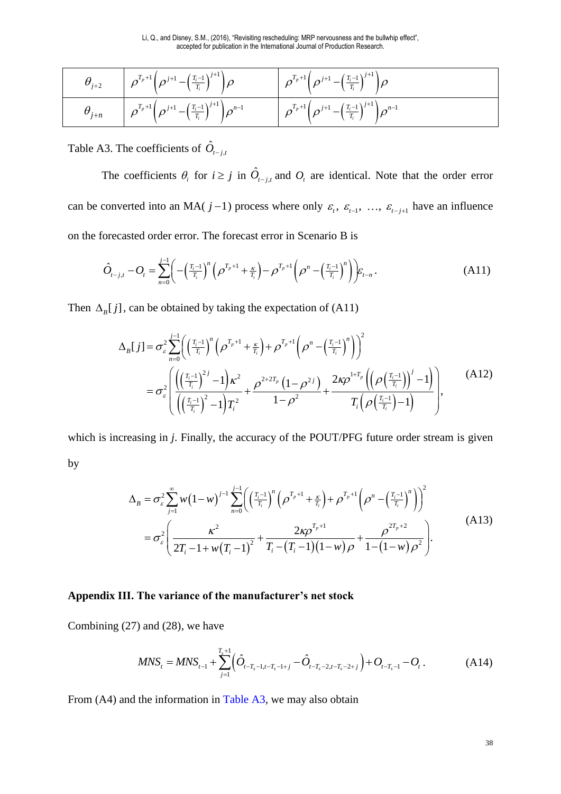| $\theta_{j+2}$ | $\boxed{\rho^{T_p+1}\bigg(\rho^{j+1}-\Big(\frac{T_i-1}{T_i}\Big)^{j+1}\bigg)\rho}$                          | $\left(\rho^{T_p+1}\left(\rho^{j+1}-\left(\frac{T_i-1}{T_i}\right)^{j+1}\right)\rho\right)$                 |
|----------------|-------------------------------------------------------------------------------------------------------------|-------------------------------------------------------------------------------------------------------------|
| $\theta_{j+n}$ | $\left( \left  \rho^{T_p+1} \Big(\rho^{j+1} - \Big(\frac{T_i-1}{T_i}\Big)^{j+1} \right) \rho^{n-1} \right)$ | $\left( \rho^{T_p+1} \left( \rho^{j+1} - \left( \frac{T_i-1}{T_i} \right)^{j+1} \right) \rho^{n-1} \right)$ |

<span id="page-38-0"></span>Table A3. The coefficients of  $\hat{O}_{t-j,t}$ 

The coefficients  $\theta_i$  for  $i \geq j$  in  $\hat{O}_{t-j,t}$  and  $O_t$  are identical. Note that the order error can be converted into an MA(  $j-1$ ) process where only  $\varepsilon$ <sub>t</sub>,  $\varepsilon$ <sub>t-1</sub>, ...,  $\varepsilon$ <sub>t-j+1</sub> have an influence on the forecasted order error. The forecast error in Scenario B is

$$
\hat{O}_{t-j,t} - O_t = \sum_{n=0}^{j-1} \left( -\left(\frac{T_i - 1}{T_i}\right)^n \left( \rho^{T_p + 1} + \frac{\kappa}{T_i} \right) - \rho^{T_p + 1} \left( \rho^n - \left(\frac{T_i - 1}{T_i}\right)^n \right) \right) \varepsilon_{t-n} \,. \tag{A11}
$$

Then  $\Delta_{B}[j]$ , can be obtained by taking the expectation of (A11)

$$
\Delta_{B}[j] = \sigma_{\varepsilon}^{2} \sum_{n=0}^{j-1} \left( \left( \frac{T_{i}-1}{T_{i}} \right)^{n} \left( \rho^{T_{p}+1} + \frac{\kappa}{T_{i}} \right) + \rho^{T_{p}+1} \left( \rho^{n} - \left( \frac{T_{i}-1}{T_{i}} \right)^{n} \right) \right)^{2}
$$
\n
$$
= \sigma_{\varepsilon}^{2} \left( \frac{\left( \left( \frac{T_{i}-1}{T_{i}} \right)^{2j} - 1 \right) \kappa^{2}}{\left( \left( \frac{T_{i}-1}{T_{i}} \right)^{2} - 1 \right) T_{i}^{2}} + \frac{\rho^{2+2T_{p}} \left( 1 - \rho^{2j} \right)}{1 - \rho^{2}} + \frac{2 \kappa \rho^{1+T_{p}} \left( \left( \rho \left( \frac{T_{i}-1}{T_{i}} \right) \right)^{j} - 1 \right)}{T_{i} \left( \rho \left( \frac{T_{i}-1}{T_{i}} \right) - 1 \right)} \right), \tag{A12}
$$

which is increasing in *j*. Finally, the accuracy of the POUT/PFG future order stream is given by

$$
\Delta_B = \sigma_{\varepsilon}^2 \sum_{j=1}^{\infty} w (1-w)^{j-1} \sum_{n=0}^{j-1} \left( \left( \frac{T_i - 1}{T_i} \right)^n \left( \rho^{T_p + 1} + \frac{\kappa}{T_i} \right) + \rho^{T_p + 1} \left( \rho^n - \left( \frac{T_i - 1}{T_i} \right)^n \right) \right)^2
$$
  
=  $\sigma_{\varepsilon}^2 \left( \frac{\kappa^2}{2T_i - 1 + w(T_i - 1)^2} + \frac{2\kappa \rho^{T_p + 1}}{T_i - (T_i - 1)(1 - w)\rho} + \frac{\rho^{2T_p + 2}}{1 - (1 - w)\rho^2} \right).$  (A13)

#### **Appendix III. The variance of the manufacturer's net stock**

Combining (27) and (28), we have

$$
MNS_t = MNS_{t-1} + \sum_{j=1}^{T_s+1} \left( \hat{O}_{t-T_s-1,t-T_s-1+j} - \hat{O}_{t-T_s-2,t-T_s-2+j} \right) + O_{t-T_s-1} - O_t.
$$
 (A14)

From (A4) and the information in [Table A3,](#page-38-0) we may also obtain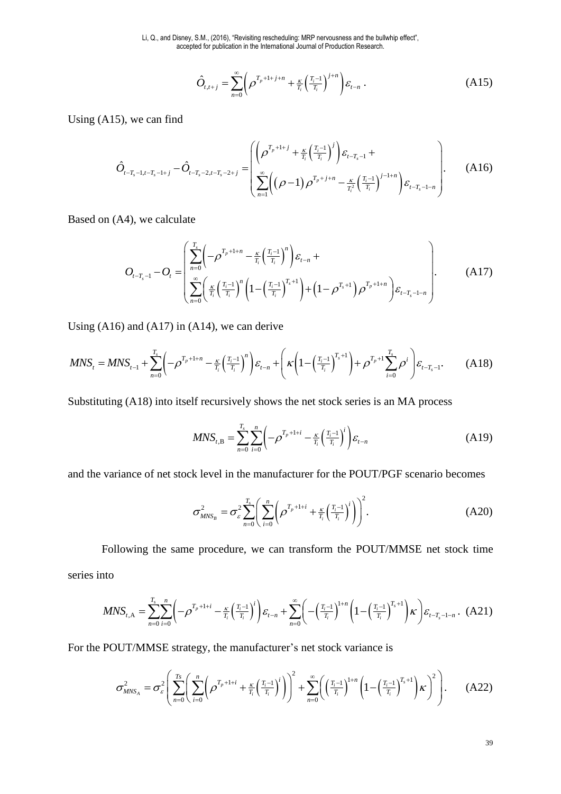Li, Q., and Disney, S.M., (2016), "Revisiting rescheduling: MRP nervousness and the bullwhip effect", accepted for publication in the International Journal of Production Research.

$$
\hat{O}_{t,t+j} = \sum_{n=0}^{\infty} \left( \rho^{T_p + 1 + j + n} + \frac{\kappa}{T_i} \left( \frac{T_i - 1}{T_i} \right)^{j + n} \right) \varepsilon_{t-n} \tag{A15}
$$

Using (A15), we can find

$$
\hat{O}_{t-T_s-1,t-T_s-1+j} - \hat{O}_{t-T_s-2,t-T_s-2+j} = \left( \frac{\left( \rho^{T_p+1+j} + \frac{\kappa}{T_i} \left( \frac{T_i-1}{T_i} \right)^j \right) \varepsilon_{t-T_s-1}}{\sum_{n=1}^{\infty} \left( (\rho-1) \rho^{T_p+j+n} - \frac{\kappa}{T_i^2} \left( \frac{T_i-1}{T_i} \right)^{j-1+n} \right) \varepsilon_{t-T_s-1-n}} \right). \tag{A16}
$$

Based on (A4), we calculate

$$
O_{t-T_s-1} - O_t = \left( \sum_{n=0}^{T_s} \left( -\rho^{T_p+1+n} - \frac{\kappa}{T_i} \left( \frac{T_i-1}{T_i} \right)^n \right) \varepsilon_{t-n} + \sum_{n=0}^{\infty} \left( \frac{\kappa}{T_i} \left( \frac{T_i-1}{T_i} \right)^n \left( 1 - \left( \frac{T_i-1}{T_i} \right)^{T_s+1} \right) + \left( 1 - \rho^{T_s+1} \right) \rho^{T_p+1+n} \right) \varepsilon_{t-T_s-1-n} \right). \tag{A17}
$$

Using  $(A16)$  and  $(A17)$  in  $(A14)$ , we can derive

$$
MNS_{t} = MNS_{t-1} + \sum_{n=0}^{T_s} \left( -\rho^{T_p + 1 + n} - \frac{\kappa}{T_i} \left( \frac{T_i - 1}{T_i} \right)^n \right) \varepsilon_{t-n} + \left( \kappa \left( 1 - \left( \frac{T_i - 1}{T_i} \right)^{T_s + 1} \right) + \rho^{T_p + 1} \sum_{i=0}^{T_s} \rho^i \right) \varepsilon_{t-T_s - 1}.
$$
 (A18)

Substituting (A18) into itself recursively shows the net stock series is an MA process

$$
MNS_{t,B} = \sum_{n=0}^{T_s} \sum_{i=0}^{n} \left( -\rho^{T_p + 1 + i} - \frac{\kappa}{T_i} \left( \frac{T_i - 1}{T_i} \right)^i \right) \varepsilon_{t-n}
$$
(A19)

and the variance of net stock level in the manufacturer for the POUT/PGF scenario becomes

$$
\sigma_{MNS_B}^2 = \sigma_{\varepsilon}^2 \sum_{n=0}^{T_s} \left( \sum_{i=0}^n \left( \rho^{T_p + 1 + i} + \frac{\kappa}{T_i} \left( \frac{T_i - 1}{T_i} \right)^i \right) \right)^2.
$$
 (A20)

Following the same procedure, we can transform the POUT/MMSE net stock time series into

$$
MNS_{t,\mathbf{A}} = \sum_{n=0}^{T_s} \sum_{i=0}^n \left( -\rho^{T_p + 1 + i} - \frac{\kappa}{T_i} \left( \frac{T_i - 1}{T_i} \right)^i \right) \mathcal{E}_{t-n} + \sum_{n=0}^{\infty} \left( -\left( \frac{T_i - 1}{T_i} \right)^{1 + n} \left( 1 - \left( \frac{T_i - 1}{T_i} \right)^{T_s + 1} \right) \kappa \right) \mathcal{E}_{t-T_s - 1 - n} . \tag{A21}
$$

For the POUT/MMSE strategy, the manufacturer's net stock variance is

$$
\sigma_{MNS_A}^2 = \sigma_{\varepsilon}^2 \left( \sum_{n=0}^{T_S} \left( \sum_{i=0}^n \left( \rho^{T_p + 1 + i} + \frac{\kappa}{T_i} \left( \frac{T_i - 1}{T_i} \right)^i \right) \right)^2 + \sum_{n=0}^{\infty} \left( \left( \frac{T_i - 1}{T_i} \right)^{1 + n} \left( 1 - \left( \frac{T_i - 1}{T_i} \right)^{T_s + 1} \right) \kappa \right)^2 \right). \tag{A22}
$$